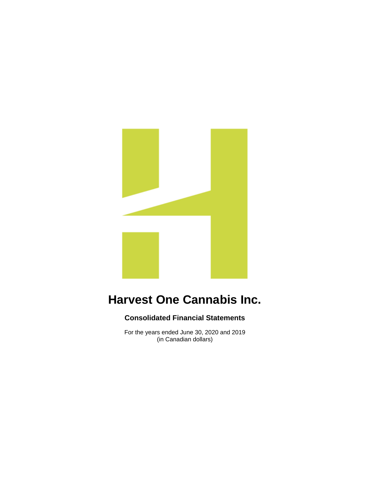

### **Consolidated Financial Statements**

For the years ended June 30, 2020 and 2019 (in Canadian dollars)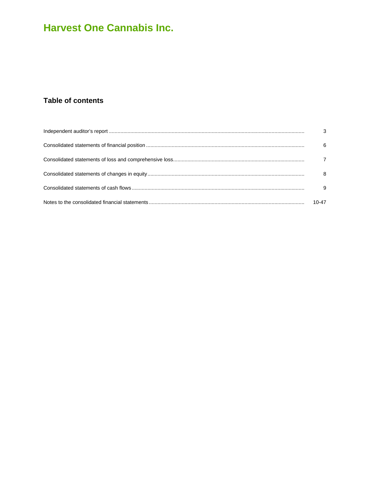### Table of contents

| 6     |
|-------|
|       |
| 8     |
| 9     |
| 10-47 |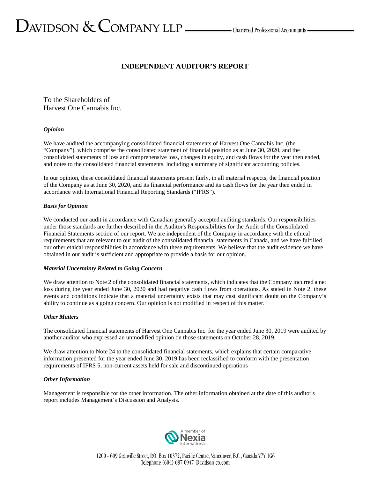# $D$ AVIDSON  $\&$  COMPANY LLP  $\_\_\_\_\$ Chartered Professional Accountants  $\_\_\_\$

### **INDEPENDENT AUDITOR'S REPORT**

To the Shareholders of Harvest One Cannabis Inc.

#### *Opinion*

We have audited the accompanying consolidated financial statements of Harvest One Cannabis Inc. (the "Company"), which comprise the consolidated statement of financial position as at June 30, 2020, and the consolidated statements of loss and comprehensive loss, changes in equity, and cash flows for the year then ended, and notes to the consolidated financial statements, including a summary of significant accounting policies.

In our opinion, these consolidated financial statements present fairly, in all material respects, the financial position of the Company as at June 30, 2020, and its financial performance and its cash flows for the year then ended in accordance with International Financial Reporting Standards ("IFRS").

#### *Basis for Opinion*

We conducted our audit in accordance with Canadian generally accepted auditing standards. Our responsibilities under those standards are further described in the Auditor's Responsibilities for the Audit of the Consolidated Financial Statements section of our report. We are independent of the Company in accordance with the ethical requirements that are relevant to our audit of the consolidated financial statements in Canada, and we have fulfilled our other ethical responsibilities in accordance with these requirements. We believe that the audit evidence we have obtained in our audit is sufficient and appropriate to provide a basis for our opinion.

#### *Material Uncertainty Related to Going Concern*

We draw attention to Note 2 of the consolidated financial statements, which indicates that the Company incurred a net loss during the year ended June 30, 2020 and had negative cash flows from operations. As stated in Note 2, these events and conditions indicate that a material uncertainty exists that may cast significant doubt on the Company's ability to continue as a going concern. Our opinion is not modified in respect of this matter.

#### *Other Matters*

The consolidated financial statements of Harvest One Cannabis Inc. for the year ended June 30, 2019 were audited by another auditor who expressed an unmodified opinion on those statements on October 28, 2019.

We draw attention to Note 24 to the consolidated financial statements, which explains that certain comparative information presented for the year ended June 30, 2019 has been reclassified to conform with the presentation requirements of IFRS 5, non-current assets held for sale and discontinued operations

#### *Other Information*

Management is responsible for the other information. The other information obtained at the date of this auditor's report includes Management's Discussion and Analysis.

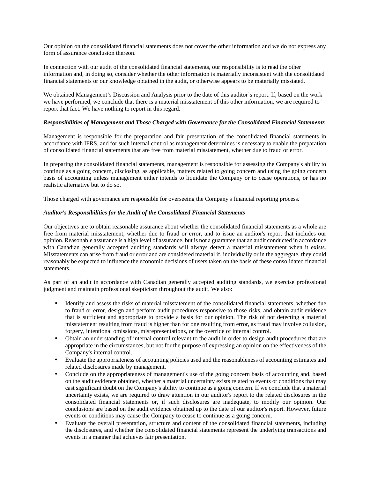Our opinion on the consolidated financial statements does not cover the other information and we do not express any form of assurance conclusion thereon.

In connection with our audit of the consolidated financial statements, our responsibility is to read the other information and, in doing so, consider whether the other information is materially inconsistent with the consolidated financial statements or our knowledge obtained in the audit, or otherwise appears to be materially misstated.

We obtained Management's Discussion and Analysis prior to the date of this auditor's report. If, based on the work we have performed, we conclude that there is a material misstatement of this other information, we are required to report that fact. We have nothing to report in this regard.

#### *Responsibilities of Management and Those Charged with Governance for the Consolidated Financial Statements*

Management is responsible for the preparation and fair presentation of the consolidated financial statements in accordance with IFRS, and for such internal control as management determines is necessary to enable the preparation of consolidated financial statements that are free from material misstatement, whether due to fraud or error.

In preparing the consolidated financial statements, management is responsible for assessing the Company's ability to continue as a going concern, disclosing, as applicable, matters related to going concern and using the going concern basis of accounting unless management either intends to liquidate the Company or to cease operations, or has no realistic alternative but to do so.

Those charged with governance are responsible for overseeing the Company's financial reporting process.

#### *Auditor's Responsibilities for the Audit of the Consolidated Financial Statements*

Our objectives are to obtain reasonable assurance about whether the consolidated financial statements as a whole are free from material misstatement, whether due to fraud or error, and to issue an auditor's report that includes our opinion. Reasonable assurance is a high level of assurance, but is not a guarantee that an audit conducted in accordance with Canadian generally accepted auditing standards will always detect a material misstatement when it exists. Misstatements can arise from fraud or error and are considered material if, individually or in the aggregate, they could reasonably be expected to influence the economic decisions of users taken on the basis of these consolidated financial statements.

As part of an audit in accordance with Canadian generally accepted auditing standards, we exercise professional judgment and maintain professional skepticism throughout the audit. We also:

- Identify and assess the risks of material misstatement of the consolidated financial statements, whether due to fraud or error, design and perform audit procedures responsive to those risks, and obtain audit evidence that is sufficient and appropriate to provide a basis for our opinion. The risk of not detecting a material misstatement resulting from fraud is higher than for one resulting from error, as fraud may involve collusion, forgery, intentional omissions, misrepresentations, or the override of internal control.
- Obtain an understanding of internal control relevant to the audit in order to design audit procedures that are appropriate in the circumstances, but not for the purpose of expressing an opinion on the effectiveness of the Company's internal control.
- Evaluate the appropriateness of accounting policies used and the reasonableness of accounting estimates and related disclosures made by management.
- Conclude on the appropriateness of management's use of the going concern basis of accounting and, based on the audit evidence obtained, whether a material uncertainty exists related to events or conditions that may cast significant doubt on the Company's ability to continue as a going concern. If we conclude that a material uncertainty exists, we are required to draw attention in our auditor's report to the related disclosures in the consolidated financial statements or, if such disclosures are inadequate, to modify our opinion. Our conclusions are based on the audit evidence obtained up to the date of our auditor's report. However, future events or conditions may cause the Company to cease to continue as a going concern.
- Evaluate the overall presentation, structure and content of the consolidated financial statements, including the disclosures, and whether the consolidated financial statements represent the underlying transactions and events in a manner that achieves fair presentation.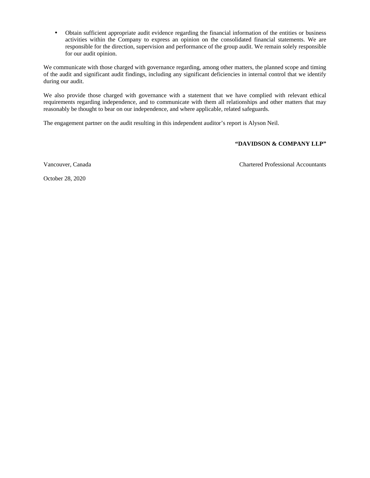• Obtain sufficient appropriate audit evidence regarding the financial information of the entities or business activities within the Company to express an opinion on the consolidated financial statements. We are responsible for the direction, supervision and performance of the group audit. We remain solely responsible for our audit opinion.

We communicate with those charged with governance regarding, among other matters, the planned scope and timing of the audit and significant audit findings, including any significant deficiencies in internal control that we identify during our audit.

We also provide those charged with governance with a statement that we have complied with relevant ethical requirements regarding independence, and to communicate with them all relationships and other matters that may reasonably be thought to bear on our independence, and where applicable, related safeguards.

The engagement partner on the audit resulting in this independent auditor's report is Alyson Neil.

#### **"DAVIDSON & COMPANY LLP"**

Vancouver, Canada Chartered Professional Accountants

October 28, 2020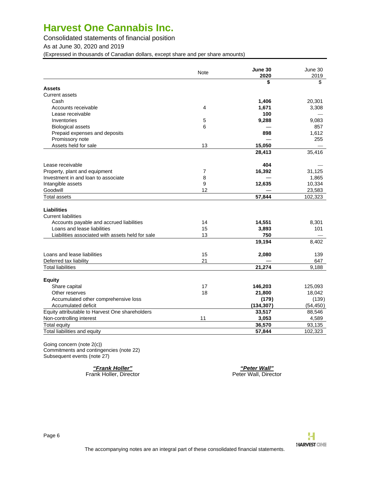Consolidated statements of financial position

As at June 30, 2020 and 2019

(Expressed in thousands of Canadian dollars, except share and per share amounts)

|                                                  | Note | June 30<br>2020 | June 30<br>2019 |
|--------------------------------------------------|------|-----------------|-----------------|
|                                                  |      | \$              | \$              |
| <b>Assets</b>                                    |      |                 |                 |
| <b>Current assets</b>                            |      |                 |                 |
| Cash                                             |      | 1,406           | 20,301          |
| Accounts receivable                              | 4    | 1,671           | 3,308           |
| Lease receivable                                 |      | 100             |                 |
| Inventories                                      | 5    | 9,288           | 9,083           |
| <b>Biological assets</b>                         | 6    |                 | 857             |
| Prepaid expenses and deposits                    |      | 898             | 1,612           |
| Promissory note                                  |      |                 | 255             |
| Assets held for sale                             | 13   | 15,050          |                 |
|                                                  |      | 28,413          | 35,416          |
| Lease receivable                                 |      | 404             |                 |
| Property, plant and equipment                    | 7    | 16,392          | 31,125          |
| Investment in and loan to associate              | 8    |                 | 1,865           |
| Intangible assets                                | 9    | 12,635          | 10,334          |
| Goodwill                                         | 12   |                 | 23,583          |
| <b>Total assets</b>                              |      | 57,844          | 102,323         |
|                                                  |      |                 |                 |
| <b>Liabilities</b>                               |      |                 |                 |
| <b>Current liabilities</b>                       |      |                 |                 |
| Accounts payable and accrued liabilities         | 14   | 14,551          | 8,301           |
| Loans and lease liabilities                      | 15   | 3,893           | 101             |
| Liabilities associated with assets held for sale | 13   | 750             |                 |
|                                                  |      | 19,194          | 8,402           |
|                                                  |      |                 |                 |
| Loans and lease liabilities                      | 15   | 2,080           | 139             |
| Deferred tax liability                           | 21   |                 | 647             |
| <b>Total liabilities</b>                         |      | 21,274          | 9,188           |
|                                                  |      |                 |                 |
| <b>Equity</b>                                    |      |                 |                 |
| Share capital                                    | 17   | 146,203         | 125,093         |
| Other reserves                                   | 18   | 21,800          | 18,042          |
| Accumulated other comprehensive loss             |      | (179)           | (139)           |
| Accumulated deficit                              |      | (134, 307)      | (54, 450)       |
| Equity attributable to Harvest One shareholders  |      | 33,517          | 88,546          |
| Non-controlling interest                         | 11   | 3,053           | 4,589           |
| <b>Total equity</b>                              |      | 36,570          | 93,135          |
| Total liabilities and equity                     |      | 57,844          | 102,323         |
|                                                  |      |                 |                 |

Going concern (note 2(c)) Commitments and contingencies (note 22) Subsequent events (note 27)

Frank Holler, Director

**"Frank Holler" "Peter Wall"**

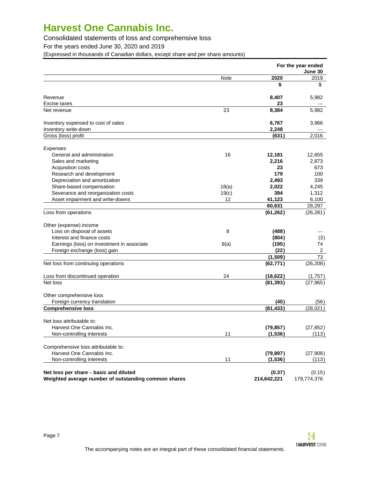Consolidated statements of loss and comprehensive loss

For the years ended June 30, 2020 and 2019

(Expressed in thousands of Canadian dollars, except share and per share amounts)

|                                                                                                |       |                       | For the year ended<br>June 30 |
|------------------------------------------------------------------------------------------------|-------|-----------------------|-------------------------------|
|                                                                                                | Note  | 2020                  | 2019                          |
|                                                                                                |       | \$                    | \$                            |
| Revenue                                                                                        |       | 8,407                 | 5,982                         |
| Excise taxes                                                                                   |       | 23                    |                               |
| Net revenue                                                                                    | 23    | 8,384                 | 5,982                         |
| Inventory expensed to cost of sales                                                            |       | 6,767                 | 3,966                         |
| Inventory write-down                                                                           |       | 2,248                 |                               |
| Gross (loss) profit                                                                            |       | (631)                 | 2,016                         |
| <b>Expenses</b>                                                                                |       |                       |                               |
| General and administration                                                                     | 16    | 12,181                | 12,655                        |
| Sales and marketing                                                                            |       | 2,216                 | 2,873                         |
| Acquisition costs                                                                              |       | 23                    | 673                           |
| Research and development                                                                       |       | 179                   | 100                           |
| Depreciation and amortization                                                                  |       | 2,493                 | 339                           |
| Share-based compensation                                                                       | 18(a) | 2,022                 | 4,245                         |
| Severance and reorganization costs                                                             | 19(c) | 394                   | 1,312                         |
| Asset impairment and write-downs                                                               | 12    | 41,123                | 6,100                         |
|                                                                                                |       | 60,631                | 28,297                        |
| Loss from operations                                                                           |       | (61, 262)             | (26, 281)                     |
| Other (expense) income                                                                         |       |                       |                               |
| Loss on disposal of assets                                                                     | 8     | (488)                 |                               |
| Interest and finance costs                                                                     |       | (804)                 | (3)                           |
| Earnings (loss) on investment in associate                                                     | 8(a)  | (195)                 | 74                            |
| Foreign exchange (loss) gain                                                                   |       | (22)                  | $\overline{2}$                |
|                                                                                                |       | (1,509)               | 73                            |
| Net loss from continuing operations                                                            |       | (62, 771)             | (26, 208)                     |
| Loss from discontinued operation                                                               | 24    | (18, 622)             | (1,757)                       |
| Net loss                                                                                       |       | (81, 393)             | (27, 965)                     |
| Other comprehensive loss                                                                       |       |                       |                               |
| Foreign currency translation                                                                   |       | (40)                  | (56)                          |
| <b>Comprehensive loss</b>                                                                      |       | (81, 433)             | (28, 021)                     |
| Net loss attributable to:                                                                      |       |                       |                               |
| Harvest One Cannabis Inc.                                                                      |       | (79, 857)             | (27, 852)                     |
| Non-controlling interests                                                                      | 11    | (1, 536)              | (113)                         |
| Comprehensive loss attributable to:                                                            |       |                       |                               |
| Harvest One Cannabis Inc.                                                                      |       | (79, 897)             | (27,908)                      |
| Non-controlling interests                                                                      | 11    | (1, 536)              | (113)                         |
| Net loss per share - basic and diluted<br>Weighted average number of outstanding common shares |       | (0.37)<br>214,642,221 | (0.15)<br>179,774,376         |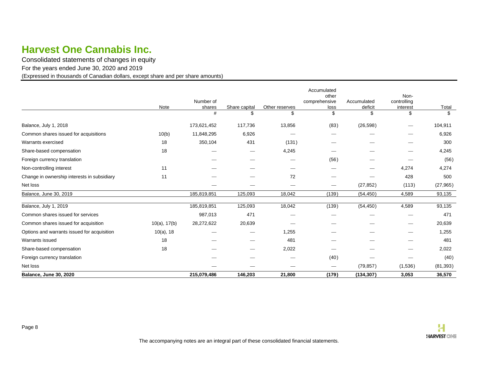Consolidated statements of changes in equity

For the years ended June 30, 2020 and 2019

(Expressed in thousands of Canadian dollars, except share and per share amounts)

<span id="page-7-0"></span>

|                                             | Note              | Number of<br>shares | Share capital | Other reserves | Accumulated<br>other<br>comprehensive<br>loss | Accumulated<br>deficit | Non-<br>controlling<br>interest | Total     |
|---------------------------------------------|-------------------|---------------------|---------------|----------------|-----------------------------------------------|------------------------|---------------------------------|-----------|
|                                             |                   | #                   | \$            | \$             | \$                                            | \$                     | \$                              | \$        |
| Balance, July 1, 2018                       |                   | 173,621,452         | 117,736       | 13,856         | (83)                                          | (26, 598)              | $\overbrace{\phantom{aaaaa}}$   | 104,911   |
| Common shares issued for acquisitions       | 10(b)             | 11,848,295          | 6,926         |                |                                               |                        |                                 | 6,926     |
| Warrants exercised                          | 18                | 350,104             | 431           | (131)          |                                               |                        |                                 | 300       |
| Share-based compensation                    | 18                |                     |               | 4,245          |                                               |                        |                                 | 4,245     |
| Foreign currency translation                |                   |                     |               |                | (56)                                          |                        |                                 | (56)      |
| Non-controlling interest                    | 11                |                     |               |                |                                               |                        | 4,274                           | 4,274     |
| Change in ownership interests in subsidiary | 11                |                     |               | 72             |                                               |                        | 428                             | 500       |
| Net loss                                    |                   |                     |               |                | $\overbrace{\phantom{13333}}$                 | (27, 852)              | (113)                           | (27, 965) |
| Balance, June 30, 2019                      |                   | 185,819,851         | 125,093       | 18,042         | (139)                                         | (54, 450)              | 4,589                           | 93,135    |
| Balance, July 1, 2019                       |                   | 185,819,851         | 125,093       | 18,042         | (139)                                         | (54, 450)              | 4,589                           | 93,135    |
| Common shares issued for services           |                   | 987,013             | 471           |                |                                               |                        |                                 | 471       |
| Common shares issued for acquisition        | $10(a)$ , $17(b)$ | 28,272,622          | 20,639        |                |                                               |                        |                                 | 20,639    |
| Options and warrants issued for acquisition | $10(a)$ , 18      |                     |               | 1,255          |                                               |                        |                                 | 1,255     |
| Warrants issued                             | 18                |                     |               | 481            |                                               |                        |                                 | 481       |
| Share-based compensation                    | 18                |                     |               | 2,022          |                                               |                        |                                 | 2,022     |
| Foreign currency translation                |                   |                     |               |                | (40)                                          |                        |                                 | (40)      |
| Net loss                                    |                   |                     |               |                | $\hspace{0.1mm}-\hspace{0.1mm}$               | (79, 857)              | (1,536)                         | (81, 393) |
| <b>Balance, June 30, 2020</b>               |                   | 215,079,486         | 146,203       | 21,800         | (179)                                         | (134, 307)             | 3,053                           | 36,570    |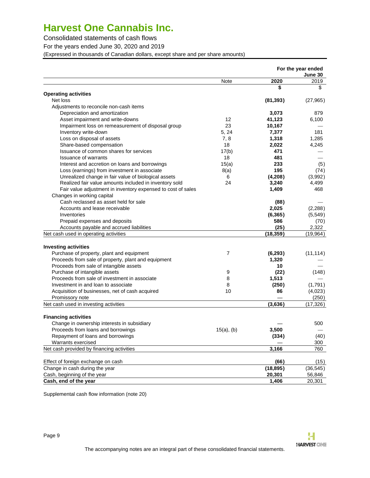Consolidated statements of cash flows

For the years ended June 30, 2020 and 2019

(Expressed in thousands of Canadian dollars, except share and per share amounts)

|                                                              |                |           | For the year ended<br>June 30 |
|--------------------------------------------------------------|----------------|-----------|-------------------------------|
|                                                              | Note           | 2020      | 2019                          |
|                                                              |                | \$        | \$                            |
| <b>Operating activities</b>                                  |                |           |                               |
| Net loss                                                     |                | (81, 393) | (27, 965)                     |
| Adjustments to reconcile non-cash items                      |                |           |                               |
| Depreciation and amortization                                |                | 3,073     | 879                           |
| Asset impairment and write-downs                             | 12             | 41,123    | 6,100                         |
| Impairment loss on remeasurement of disposal group           | 23             | 10,167    |                               |
| Inventory write-down                                         | 5, 24          | 7,377     | 181                           |
| Loss on disposal of assets                                   | 7, 8           | 1,318     | 1,285                         |
| Share-based compensation                                     | 18             | 2,022     | 4,245                         |
| Issuance of common shares for services                       | 17(b)          | 471       |                               |
| <b>Issuance of warrants</b>                                  | 18             | 481       |                               |
| Interest and accretion on loans and borrowings               | 15(a)          | 233       | (5)                           |
| Loss (earnings) from investment in associate                 | 8(a)           | 195       | (74)                          |
| Unrealized change in fair value of biological assets         | 6              | (4,208)   | (3,992)                       |
| Realized fair value amounts included in inventory sold       | 24             | 3,240     | 4,499                         |
| Fair value adjustment in inventory expensed to cost of sales |                | 1,409     | 468                           |
| Changes in working capital                                   |                |           |                               |
| Cash reclassed as asset held for sale                        |                | (88)      |                               |
| Accounts and lease receivable                                |                | 2,025     | (2, 288)                      |
| Inventories                                                  |                | (6, 365)  | (5,549)                       |
| Prepaid expenses and deposits                                |                | 586       | (70)                          |
| Accounts payable and accrued liabilities                     |                | (25)      | 2,322                         |
| Net cash used in operating activities                        |                | (18, 359) | (19, 964)                     |
|                                                              |                |           |                               |
| <b>Investing activities</b>                                  |                |           |                               |
| Purchase of property, plant and equipment                    | $\overline{7}$ | (6, 293)  | (11, 114)                     |
| Proceeds from sale of property, plant and equipment          |                | 1,320     |                               |
| Proceeds from sale of intangible assets                      |                | 10        |                               |
| Purchase of intangible assets                                | 9              | (22)      | (148)                         |
| Proceeds from sale of investment in associate                | 8              | 1,513     |                               |
| Investment in and loan to associate                          | 8              | (250)     | (1,791)                       |
| Acquisition of businesses, net of cash acquired              | 10             | 86        | (4,023)                       |
| Promissory note                                              |                |           | (250)                         |
| Net cash used in investing activities                        |                | (3,636)   | (17, 326)                     |
|                                                              |                |           |                               |
| <b>Financing activities</b>                                  |                |           |                               |
| Change in ownership interests in subsidiary                  |                |           | 500                           |
| Proceeds from loans and borrowings                           | $15(a)$ , (b)  | 3,500     |                               |
| Repayment of loans and borrowings                            |                | (334)     | (40)                          |
| Warrants exercised                                           |                |           | 300                           |
| Net cash provided by financing activities                    |                | 3,166     | 760                           |
| Effect of foreign exchange on cash                           |                | (66)      | (15)                          |
| Change in cash during the year                               |                | (18, 895) | (36, 545)                     |
| Cash, beginning of the year                                  |                | 20,301    | 56,846                        |
| Cash, end of the year                                        |                | 1,406     | 20,301                        |

Supplemental cash flow information (note 20)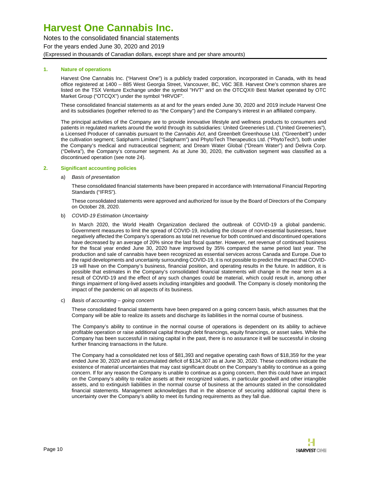Notes to the consolidated financial statements For the years ended June 30, 2020 and 2019 (Expressed in thousands of Canadian dollars, except share and per share amounts)

#### **1. Nature of operations**

<span id="page-9-0"></span>Harvest One Cannabis Inc. ("Harvest One") is a publicly traded corporation, incorporated in Canada, with its head office registered at 1400 – 885 West Georgia Street, Vancouver, BC, V6C 3E8. Harvest One's common shares are listed on the TSX Venture Exchange under the symbol "HVT" and on the OTCQX® Best Market operated by OTC Market Group ("OTCQX") under the symbol "HRVOF".

These consolidated financial statements as at and for the years ended June 30, 2020 and 2019 include Harvest One and its subsidiaries (together referred to as "the Company") and the Company's interest in an affiliated company.

The principal activities of the Company are to provide innovative lifestyle and wellness products to consumers and patients in regulated markets around the world through its subsidiaries: United Greeneries Ltd. ("United Greeneries"), a Licensed Producer of cannabis pursuant to the Cannabis Act, and Greenbelt Greenhouse Ltd. ("Greenbelt") under the cultivation segment; Satipharm Limited ("Satipharm") and PhytoTech Therapeutics Ltd. ("PhytoTech"), both under the Company's medical and nutraceutical segment; and Dream Water Global ("Dream Water") and Delivra Corp. ("Delivra"), the Company's consumer segment. As at June 30, 2020, the cultivation segment was classified as a discontinued operation (see note 24).

#### **2. Significant accounting policies**

#### a) Basis of presentation

These consolidated financial statements have been prepared in accordance with International Financial Reporting Standards ("IFRS").

These consolidated statements were approved and authorized for issue by the Board of Directors of the Company on October 28, 2020.

#### b) COVID-19 Estimation Uncertainty

In March 2020, the World Health Organization declared the outbreak of COVID-19 a global pandemic. Government measures to limit the spread of COVID-19, including the closure of non-essential businesses, have negatively affected the Company's operations as total net revenue for both continued and discontinued operations have decreased by an average of 20% since the last fiscal quarter. However, net revenue of continued business for the fiscal year ended June 30, 2020 have improved by 35% compared the same period last year. The production and sale of cannabis have been recognized as essential services across Canada and Europe. Due to the rapid developments and uncertainty surrounding COVID-19, it is not possible to predict the impact that COVID-19 will have on the Company's business, financial position, and operating results in the future. In addition, it is possible that estimates in the Company's consolidated financial statements will change in the near term as a result of COVID-19 and the effect of any such changes could be material, which could result in, among other things impairment of long-lived assets including intangibles and goodwill. The Company is closely monitoring the impact of the pandemic on all aspects of its business.

#### c) Basis of accounting – going concern

These consolidated financial statements have been prepared on a going concern basis, which assumes that the Company will be able to realize its assets and discharge its liabilities in the normal course of business.

The Company's ability to continue in the normal course of operations is dependent on its ability to achieve profitable operation or raise additional capital through debt financings, equity financings, or asset sales. While the Company has been successful in raising capital in the past, there is no assurance it will be successful in closing further financing transactions in the future.

The Company had a consolidated net loss of \$81,393 and negative operating cash flows of \$18,359 for the year ended June 30, 2020 and an accumulated deficit of \$134,307 as at June 30, 2020. These conditions indicate the existence of material uncertainties that may cast significant doubt on the Company's ability to continue as a going concern. If for any reason the Company is unable to continue as a going concern, then this could have an impact on the Company's ability to realize assets at their recognized values, in particular goodwill and other intangible assets, and to extinguish liabilities in the normal course of business at the amounts stated in the consolidated financial statements. Management acknowledges that in the absence of securing additional capital there is uncertainty over the Company's ability to meet its funding requirements as they fall due.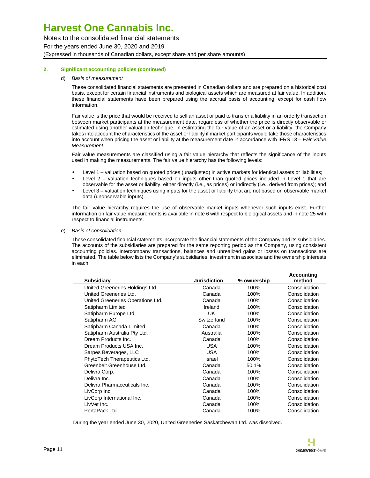Notes to the consolidated financial statements For the years ended June 30, 2020 and 2019 (Expressed in thousands of Canadian dollars, except share and per share amounts)

#### **2. Significant accounting policies (continued)**

#### d) Basis of measurement

These consolidated financial statements are presented in Canadian dollars and are prepared on a historical cost basis, except for certain financial instruments and biological assets which are measured at fair value. In addition, these financial statements have been prepared using the accrual basis of accounting, except for cash flow information.

Fair value is the price that would be received to sell an asset or paid to transfer a liability in an orderly transaction between market participants at the measurement date, regardless of whether the price is directly observable or estimated using another valuation technique. In estimating the fair value of an asset or a liability, the Company takes into account the characteristics of the asset or liability if market participants would take those characteristics into account when pricing the asset or liability at the measurement date in accordance with IFRS 13 – Fair Value **Measurement** 

Fair value measurements are classified using a fair value hierarchy that reflects the significance of the inputs used in making the measurements. The fair value hierarchy has the following levels:

- Level 1 valuation based on quoted prices (unadjusted) in active markets for identical assets or liabilities;
- Level 2 valuation techniques based on inputs other than quoted prices included in Level 1 that are observable for the asset or liability, either directly (i.e., as prices) or indirectly (i.e., derived from prices); and
- Level 3 valuation techniques using inputs for the asset or liability that are not based on observable market data (unobservable inputs).

The fair value hierarchy requires the use of observable market inputs whenever such inputs exist. Further information on fair value measurements is available in note 6 with respect to biological assets and in note 25 with respect to financial instruments.

#### e) Basis of consolidation

These consolidated financial statements incorporate the financial statements of the Company and its subsidiaries. The accounts of the subsidiaries are prepared for the same reporting period as the Company, using consistent accounting policies. Intercompany transactions, balances and unrealized gains or losses on transactions are eliminated. The table below lists the Company's subsidiaries, investment in associate and the ownership interests in each:

| <b>Subsidiary</b>                 | <b>Jurisdiction</b> | % ownership | <b>Accounting</b><br>method |
|-----------------------------------|---------------------|-------------|-----------------------------|
| United Greeneries Holdings Ltd.   | Canada              | 100%        | Consolidation               |
| United Greeneries Ltd.            | Canada              | 100%        | Consolidation               |
| United Greeneries Operations Ltd. | Canada              | 100%        | Consolidation               |
| Satipharm Limited                 | Ireland             | 100%        | Consolidation               |
| Satipharm Europe Ltd.             | UK.                 | 100%        | Consolidation               |
| Satipharm AG                      | Switzerland         | 100%        | Consolidation               |
| Satipharm Canada Limited          | Canada              | 100%        | Consolidation               |
| Satipharm Australia Pty Ltd.      | Australia           | 100%        | Consolidation               |
| Dream Products Inc.               | Canada              | 100%        | Consolidation               |
| Dream Products USA Inc.           | <b>USA</b>          | 100%        | Consolidation               |
| Sarpes Beverages, LLC             | <b>USA</b>          | 100%        | Consolidation               |
| PhytoTech Therapeutics Ltd.       | Israel              | 100%        | Consolidation               |
| Greenbelt Greenhouse Ltd.         | Canada              | 50.1%       | Consolidation               |
| Delivra Corp.                     | Canada              | 100%        | Consolidation               |
| Delivra Inc.                      | Canada              | 100%        | Consolidation               |
| Delivra Pharmaceuticals Inc.      | Canada              | 100%        | Consolidation               |
| LivCorp Inc.                      | Canada              | 100%        | Consolidation               |
| LivCorp International Inc.        | Canada              | 100%        | Consolidation               |
| LivVet Inc.                       | Canada              | 100%        | Consolidation               |
| PortaPack Ltd.                    | Canada              | 100%        | Consolidation               |
|                                   |                     |             |                             |

During the year ended June 30, 2020, United Greeneries Saskatchewan Ltd. was dissolved.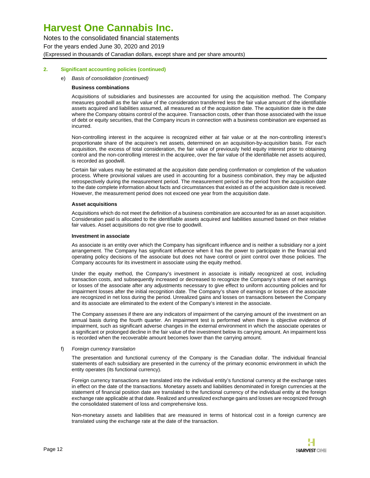Notes to the consolidated financial statements For the years ended June 30, 2020 and 2019 (Expressed in thousands of Canadian dollars, except share and per share amounts)

#### **2. Significant accounting policies (continued)**

#### e) Basis of consolidation (continued)

#### **Business combinations**

Acquisitions of subsidiaries and businesses are accounted for using the acquisition method. The Company measures goodwill as the fair value of the consideration transferred less the fair value amount of the identifiable assets acquired and liabilities assumed, all measured as of the acquisition date. The acquisition date is the date where the Company obtains control of the acquiree. Transaction costs, other than those associated with the issue of debt or equity securities, that the Company incurs in connection with a business combination are expensed as incurred.

Non-controlling interest in the acquiree is recognized either at fair value or at the non-controlling interest's proportionate share of the acquiree's net assets, determined on an acquisition-by-acquisition basis. For each acquisition, the excess of total consideration, the fair value of previously held equity interest prior to obtaining control and the non-controlling interest in the acquiree, over the fair value of the identifiable net assets acquired, is recorded as goodwill.

Certain fair values may be estimated at the acquisition date pending confirmation or completion of the valuation process. Where provisional values are used in accounting for a business combination, they may be adjusted retrospectively during the measurement period. The measurement period is the period from the acquisition date to the date complete information about facts and circumstances that existed as of the acquisition date is received. However, the measurement period does not exceed one year from the acquisition date.

#### **Asset acquisitions**

Acquisitions which do not meet the definition of a business combination are accounted for as an asset acquisition. Consideration paid is allocated to the identifiable assets acquired and liabilities assumed based on their relative fair values. Asset acquisitions do not give rise to goodwill.

#### **Investment in associate**

As associate is an entity over which the Company has significant influence and is neither a subsidiary nor a joint arrangement. The Company has significant influence when it has the power to participate in the financial and operating policy decisions of the associate but does not have control or joint control over those policies. The Company accounts for its investment in associate using the equity method.

Under the equity method, the Company's investment in associate is initially recognized at cost, including transaction costs, and subsequently increased or decreased to recognize the Company's share of net earnings or losses of the associate after any adjustments necessary to give effect to uniform accounting policies and for impairment losses after the initial recognition date. The Company's share of earnings or losses of the associate are recognized in net loss during the period. Unrealized gains and losses on transactions between the Company and its associate are eliminated to the extent of the Company's interest in the associate.

The Company assesses if there are any indicators of impairment of the carrying amount of the investment on an annual basis during the fourth quarter. An impairment test is performed when there is objective evidence of impairment, such as significant adverse changes in the external environment in which the associate operates or a significant or prolonged decline in the fair value of the investment below its carrying amount. An impairment loss is recorded when the recoverable amount becomes lower than the carrying amount.

#### f) Foreign currency translation

The presentation and functional currency of the Company is the Canadian dollar. The individual financial statements of each subsidiary are presented in the currency of the primary economic environment in which the entity operates (its functional currency).

Foreign currency transactions are translated into the individual entity's functional currency at the exchange rates in effect on the date of the transactions. Monetary assets and liabilities denominated in foreign currencies at the statement of financial position date are translated to the functional currency of the individual entity at the foreign exchange rate applicable at that date. Realized and unrealized exchange gains and losses are recognized through the consolidated statement of loss and comprehensive loss.

Non-monetary assets and liabilities that are measured in terms of historical cost in a foreign currency are translated using the exchange rate at the date of the transaction.

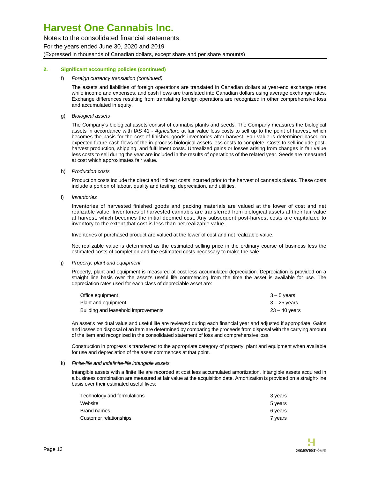Notes to the consolidated financial statements For the years ended June 30, 2020 and 2019 (Expressed in thousands of Canadian dollars, except share and per share amounts)

#### **2. Significant accounting policies (continued)**

f) Foreign currency translation (continued)

The assets and liabilities of foreign operations are translated in Canadian dollars at year-end exchange rates while income and expenses, and cash flows are translated into Canadian dollars using average exchange rates. Exchange differences resulting from translating foreign operations are recognized in other comprehensive loss and accumulated in equity.

g) Biological assets

The Company's biological assets consist of cannabis plants and seeds. The Company measures the biological assets in accordance with IAS 41 - Agriculture at fair value less costs to sell up to the point of harvest, which becomes the basis for the cost of finished goods inventories after harvest. Fair value is determined based on expected future cash flows of the in-process biological assets less costs to complete. Costs to sell include postharvest production, shipping, and fulfillment costs. Unrealized gains or losses arising from changes in fair value less costs to sell during the year are included in the results of operations of the related year. Seeds are measured at cost which approximates fair value.

h) Production costs

Production costs include the direct and indirect costs incurred prior to the harvest of cannabis plants. These costs include a portion of labour, quality and testing, depreciation, and utilities.

i) *Inventories* 

Inventories of harvested finished goods and packing materials are valued at the lower of cost and net realizable value. Inventories of harvested cannabis are transferred from biological assets at their fair value at harvest, which becomes the initial deemed cost. Any subsequent post-harvest costs are capitalized to inventory to the extent that cost is less than net realizable value.

Inventories of purchased product are valued at the lower of cost and net realizable value.

Net realizable value is determined as the estimated selling price in the ordinary course of business less the estimated costs of completion and the estimated costs necessary to make the sale.

#### j) Property, plant and equipment

Property, plant and equipment is measured at cost less accumulated depreciation. Depreciation is provided on a straight line basis over the asset's useful life commencing from the time the asset is available for use. The depreciation rates used for each class of depreciable asset are:

| Office equipment                    | $3 - 5$ vears  |
|-------------------------------------|----------------|
| Plant and equipment                 | $3 - 25$ years |
| Building and leasehold improvements | 23 – 40 vears  |

An asset's residual value and useful life are reviewed during each financial year and adjusted if appropriate. Gains and losses on disposal of an item are determined by comparing the proceeds from disposal with the carrying amount of the item and recognized in the consolidated statement of loss and comprehensive loss.

Construction in progress is transferred to the appropriate category of property, plant and equipment when available for use and depreciation of the asset commences at that point.

#### k) Finite-life and indefinite-life intangible assets

Intangible assets with a finite life are recorded at cost less accumulated amortization. Intangible assets acquired in a business combination are measured at fair value at the acquisition date. Amortization is provided on a straight-line basis over their estimated useful lives:

| Technology and formulations | 3 years |
|-----------------------------|---------|
| Website                     | 5 years |
| Brand names                 | 6 years |
| Customer relationships      | 7 vears |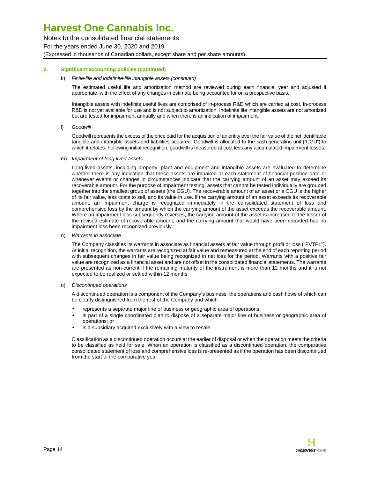Notes to the consolidated financial statements For the years ended June 30, 2020 and 2019 (Expressed in thousands of Canadian dollars, except share and per share amounts)

#### **2. Significant accounting policies (continued)**

#### k) Finite-life and indefinite-life intangible assets (continued)

The estimated useful life and amortization method are reviewed during each financial year and adjusted if appropriate, with the effect of any changes in estimate being accounted for on a prospective basis.

Intangible assets with indefinite useful lives are comprised of in-process R&D which are carried at cost. In-process R&D is not yet available for use and is not subject to amortization. Indefinite life intangible assets are not amortized but are tested for impairment annually and when there is an indication of impairment.

l) Goodwill

Goodwill represents the excess of the price paid for the acquisition of an entity over the fair value of the net identifiable tangible and intangible assets and liabilities acquired. Goodwill is allocated to the cash-generating unit ("CGU") to which it relates. Following initial recognition, goodwill is measured at cost less any accumulated impairment losses.

m) Impairment of long-lived assets

Long-lived assets, including property, plant and equipment and intangible assets are evaluated to determine whether there is any indication that these assets are impaired at each statement of financial position date or whenever events or changes in circumstances indicate that the carrying amount of an asset may exceed its recoverable amount. For the purpose of impairment testing, assets that cannot be tested individually are grouped together into the smallest group of assets (the CGU). The recoverable amount of an asset or a CGU is the higher of its fair value, less costs to sell, and its value in use. If the carrying amount of an asset exceeds its recoverable amount, an impairment charge is recognized immediately in the consolidated statement of loss and comprehensive loss by the amount by which the carrying amount of the asset exceeds the recoverable amount. Where an impairment loss subsequently reverses, the carrying amount of the asset is increased to the lesser of the revised estimate of recoverable amount, and the carrying amount that would have been recorded had no impairment loss been recognized previously.

n) Warrants in associate

The Company classifies its warrants in associate as financial assets at fair value through profit or loss ("FVTPL"). At initial recognition, the warrants are recognized at fair value and remeasured at the end of each reporting period with subsequent changes in fair value being recognized in net loss for the period. Warrants with a positive fair value are recognized as a financial asset and are not offset in the consolidated financial statements. The warrants are presented as non-current if the remaining maturity of the instrument is more than 12 months and it is not expected to be realized or settled within 12 months.

#### o) Discontinued operations

A discontinued operation is a component of the Company's business, the operations and cash flows of which can be clearly distinguished from the rest of the Company and which:

- represents a separate major line of business or geographic area of operations;
- is part of a single coordinated plan to dispose of a separate major line of business or geographic area of operations; or
- is a subsidiary acquired exclusively with a view to resale.

Classification as a discontinued operation occurs at the earlier of disposal or when the operation meets the criteria to be classified as held for sale. When an operation is classified as a discontinued operation, the comparative consolidated statement of loss and comprehensive loss is re-presented as if the operation has been discontinued from the start of the comparative year.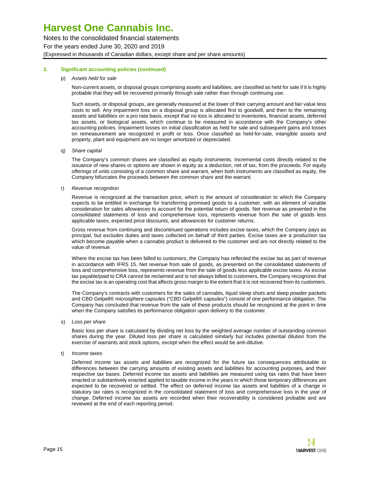Notes to the consolidated financial statements For the years ended June 30, 2020 and 2019 (Expressed in thousands of Canadian dollars, except share and per share amounts)

#### **2. Significant accounting policies (continued)**

#### p) Assets held for sale

Non-current assets, or disposal groups comprising assets and liabilities, are classified as held for sale if it is highly probable that they will be recovered primarily through sale rather than through continuing use.

Such assets, or disposal groups, are generally measured at the lower of their carrying amount and fair value less costs to sell. Any impairment loss on a disposal group is allocated first to goodwill, and then to the remaining assets and liabilities on a pro rata basis, except that no loss is allocated to inventories, financial assets, deferred tax assets, or biological assets, which continue to be measured in accordance with the Company's other accounting policies. Impairment losses on initial classification as held for sale and subsequent gains and losses on remeasurement are recognized in profit or loss. Once classified as held-for-sale, intangible assets and property, plant and equipment are no longer amortized or depreciated.

#### q) Share capital

The Company's common shares are classified as equity instruments. Incremental costs directly related to the issuance of new shares or options are shown in equity as a deduction, net of tax, from the proceeds. For equity offerings of units consisting of a common share and warrant, when both instruments are classified as equity, the Company bifurcates the proceeds between the common share and the warrant.

#### r) Revenue recognition

Revenue is recognized at the transaction price, which is the amount of consideration to which the Company expects to be entitled in exchange for transferring promised goods to a customer, with an element of variable consideration for sales allowances to account for the potential return of goods. Net revenue as presented in the consolidated statements of loss and comprehensive loss, represents revenue from the sale of goods less applicable taxes, expected price discounts, and allowances for customer returns.

Gross revenue from continuing and discontinued operations includes excise taxes, which the Company pays as principal, but excludes duties and taxes collected on behalf of third parties. Excise taxes are a production tax which become payable when a cannabis product is delivered to the customer and are not directly related to the value of revenue.

Where the excise tax has been billed to customers, the Company has reflected the excise tax as part of revenue in accordance with IFRS 15. Net revenue from sale of goods, as presented on the consolidated statements of loss and comprehensive loss, represents revenue from the sale of goods less applicable excise taxes. As excise tax payable/paid to CRA cannot be reclaimed and is not always billed to customers, the Company recognizes that the excise tax is an operating cost that affects gross margin to the extent that it is not recovered from its customers.

The Company's contracts with customers for the sales of cannabis, liquid sleep shots and sleep powder packets and CBD Gelpell® microsphere capsules ("CBD Gelpell® capsules") consist of one performance obligation. The Company has concluded that revenue from the sale of these products should be recognized at the point in time when the Company satisfies its performance obligation upon delivery to the customer.

s) Loss per share

Basic loss per share is calculated by dividing net loss by the weighted average number of outstanding common shares during the year. Diluted loss per share is calculated similarly but includes potential dilution from the exercise of warrants and stock options, except when the effect would be anti-dilutive.

t) Income taxes

Deferred income tax assets and liabilities are recognized for the future tax consequences attributable to differences between the carrying amounts of existing assets and liabilities for accounting purposes, and their respective tax bases. Deferred income tax assets and liabilities are measured using tax rates that have been enacted or substantively enacted applied to taxable income in the years in which those temporary differences are expected to be recovered or settled. The effect on deferred income tax assets and liabilities of a change in statutory tax rates is recognized in the consolidated statement of loss and comprehensive loss in the year of change. Deferred income tax assets are recorded when their recoverability is considered probable and are reviewed at the end of each reporting period.

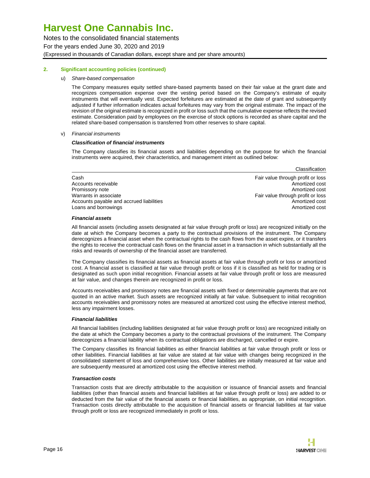Notes to the consolidated financial statements For the years ended June 30, 2020 and 2019 (Expressed in thousands of Canadian dollars, except share and per share amounts)

#### **2. Significant accounting policies (continued)**

u) Share-based compensation

The Company measures equity settled share-based payments based on their fair value at the grant date and recognizes compensation expense over the vesting period based on the Company's estimate of equity instruments that will eventually vest. Expected forfeitures are estimated at the date of grant and subsequently adjusted if further information indicates actual forfeitures may vary from the original estimate. The impact of the revision of the original estimate is recognized in profit or loss such that the cumulative expense reflects the revised estimate. Consideration paid by employees on the exercise of stock options is recorded as share capital and the related share-based compensation is transferred from other reserves to share capital.

#### v) Financial instruments

#### **Classification of financial instruments**

The Company classifies its financial assets and liabilities depending on the purpose for which the financial instruments were acquired, their characteristics, and management intent as outlined below:

|                                          | Classification                    |
|------------------------------------------|-----------------------------------|
| Cash                                     | Fair value through profit or loss |
| Accounts receivable                      | Amortized cost                    |
| Promissory note                          | Amortized cost                    |
| Warrants in associate                    | Fair value through profit or loss |
| Accounts payable and accrued liabilities | Amortized cost                    |
| Loans and borrowings                     | Amortized cost                    |

#### **Financial assets**

All financial assets (including assets designated at fair value through profit or loss) are recognized initially on the date at which the Company becomes a party to the contractual provisions of the instrument. The Company derecognizes a financial asset when the contractual rights to the cash flows from the asset expire, or it transfers the rights to receive the contractual cash flows on the financial asset in a transaction in which substantially all the risks and rewards of ownership of the financial asset are transferred.

The Company classifies its financial assets as financial assets at fair value through profit or loss or amortized cost. A financial asset is classified at fair value through profit or loss if it is classified as held for trading or is designated as such upon initial recognition. Financial assets at fair value through profit or loss are measured at fair value, and changes therein are recognized in profit or loss.

Accounts receivables and promissory notes are financial assets with fixed or determinable payments that are not quoted in an active market. Such assets are recognized initially at fair value. Subsequent to initial recognition accounts receivables and promissory notes are measured at amortized cost using the effective interest method, less any impairment losses.

#### **Financial liabilities**

All financial liabilities (including liabilities designated at fair value through profit or loss) are recognized initially on the date at which the Company becomes a party to the contractual provisions of the instrument. The Company derecognizes a financial liability when its contractual obligations are discharged, cancelled or expire.

The Company classifies its financial liabilities as either financial liabilities at fair value through profit or loss or other liabilities. Financial liabilities at fair value are stated at fair value with changes being recognized in the consolidated statement of loss and comprehensive loss. Other liabilities are initially measured at fair value and are subsequently measured at amortized cost using the effective interest method.

#### **Transaction costs**

Transaction costs that are directly attributable to the acquisition or issuance of financial assets and financial liabilities (other than financial assets and financial liabilities at fair value through profit or loss) are added to or deducted from the fair value of the financial assets or financial liabilities, as appropriate, on initial recognition. Transaction costs directly attributable to the acquisition of financial assets or financial liabilities at fair value through profit or loss are recognized immediately in profit or loss.

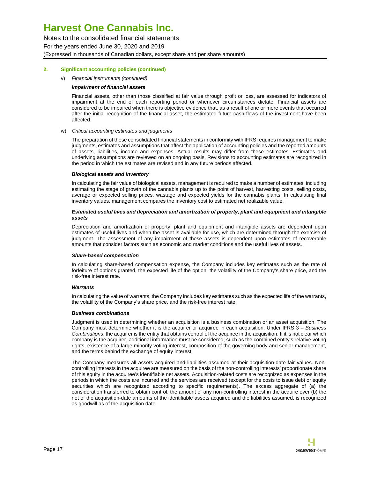Notes to the consolidated financial statements For the years ended June 30, 2020 and 2019 (Expressed in thousands of Canadian dollars, except share and per share amounts)

#### **2. Significant accounting policies (continued)**

#### v) Financial instruments (continued)

#### **Impairment of financial assets**

Financial assets, other than those classified at fair value through profit or loss, are assessed for indicators of impairment at the end of each reporting period or whenever circumstances dictate. Financial assets are considered to be impaired when there is objective evidence that, as a result of one or more events that occurred after the initial recognition of the financial asset, the estimated future cash flows of the investment have been affected.

#### w) Critical accounting estimates and judgments

The preparation of these consolidated financial statements in conformity with IFRS requires management to make judgments, estimates and assumptions that affect the application of accounting policies and the reported amounts of assets, liabilities, income and expenses. Actual results may differ from these estimates. Estimates and underlying assumptions are reviewed on an ongoing basis. Revisions to accounting estimates are recognized in the period in which the estimates are revised and in any future periods affected.

#### **Biological assets and inventory**

In calculating the fair value of biological assets, management is required to make a number of estimates, including estimating the stage of growth of the cannabis plants up to the point of harvest, harvesting costs, selling costs, average or expected selling prices, wastage and expected yields for the cannabis plants. In calculating final inventory values, management compares the inventory cost to estimated net realizable value.

#### **Estimated useful lives and depreciation and amortization of property, plant and equipment and intangible assets**

Depreciation and amortization of property, plant and equipment and intangible assets are dependent upon estimates of useful lives and when the asset is available for use, which are determined through the exercise of judgment. The assessment of any impairment of these assets is dependent upon estimates of recoverable amounts that consider factors such as economic and market conditions and the useful lives of assets.

#### **Share-based compensation**

In calculating share-based compensation expense, the Company includes key estimates such as the rate of forfeiture of options granted, the expected life of the option, the volatility of the Company's share price, and the risk-free interest rate.

#### **Warrants**

In calculating the value of warrants, the Company includes key estimates such as the expected life of the warrants, the volatility of the Company's share price, and the risk-free interest rate.

#### **Business combinations**

Judgment is used in determining whether an acquisition is a business combination or an asset acquisition. The Company must determine whether it is the acquirer or acquiree in each acquisition. Under IFRS 3 - Business Combinations, the acquirer is the entity that obtains control of the acquiree in the acquisition. If it is not clear which company is the acquirer, additional information must be considered, such as the combined entity's relative voting rights, existence of a large minority voting interest, composition of the governing body and senior management, and the terms behind the exchange of equity interest.

The Company measures all assets acquired and liabilities assumed at their acquisition-date fair values. Noncontrolling interests in the acquiree are measured on the basis of the non-controlling interests' proportionate share of this equity in the acquiree's identifiable net assets. Acquisition-related costs are recognized as expenses in the periods in which the costs are incurred and the services are received (except for the costs to issue debt or equity securities which are recognized according to specific requirements). The excess aggregate of (a) the consideration transferred to obtain control, the amount of any non-controlling interest in the acquire over (b) the net of the acquisition-date amounts of the identifiable assets acquired and the liabilities assumed, is recognized as goodwill as of the acquisition date.

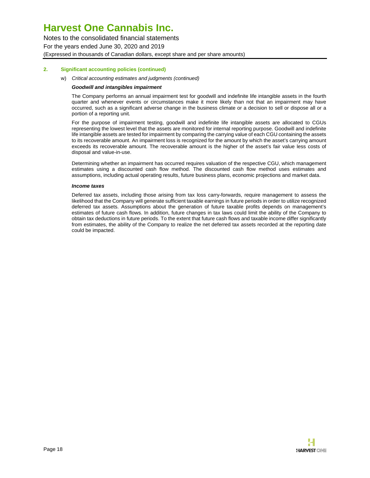Notes to the consolidated financial statements For the years ended June 30, 2020 and 2019 (Expressed in thousands of Canadian dollars, except share and per share amounts)

#### **2. Significant accounting policies (continued)**

w) Critical accounting estimates and judgments (continued)

#### **Goodwill and intangibles impairment**

The Company performs an annual impairment test for goodwill and indefinite life intangible assets in the fourth quarter and whenever events or circumstances make it more likely than not that an impairment may have occurred, such as a significant adverse change in the business climate or a decision to sell or dispose all or a portion of a reporting unit.

For the purpose of impairment testing, goodwill and indefinite life intangible assets are allocated to CGUs representing the lowest level that the assets are monitored for internal reporting purpose. Goodwill and indefinite life intangible assets are tested for impairment by comparing the carrying value of each CGU containing the assets to its recoverable amount. An impairment loss is recognized for the amount by which the asset's carrying amount exceeds its recoverable amount. The recoverable amount is the higher of the asset's fair value less costs of disposal and value-in-use.

Determining whether an impairment has occurred requires valuation of the respective CGU, which management estimates using a discounted cash flow method. The discounted cash flow method uses estimates and assumptions, including actual operating results, future business plans, economic projections and market data.

#### **Income taxes**

Deferred tax assets, including those arising from tax loss carry-forwards, require management to assess the likelihood that the Company will generate sufficient taxable earnings in future periods in order to utilize recognized deferred tax assets. Assumptions about the generation of future taxable profits depends on management's estimates of future cash flows. In addition, future changes in tax laws could limit the ability of the Company to obtain tax deductions in future periods. To the extent that future cash flows and taxable income differ significantly from estimates, the ability of the Company to realize the net deferred tax assets recorded at the reporting date could be impacted.

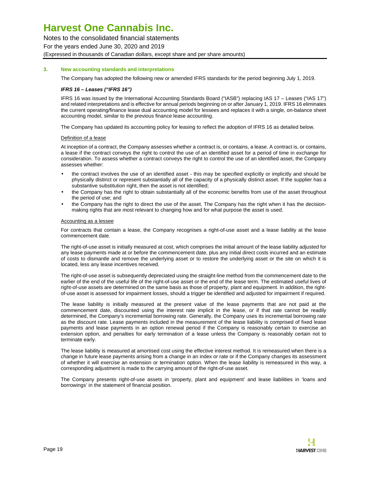Notes to the consolidated financial statements For the years ended June 30, 2020 and 2019 (Expressed in thousands of Canadian dollars, except share and per share amounts)

#### **3. New accounting standards and interpretations**

The Company has adopted the following new or amended IFRS standards for the period beginning July 1, 2019.

#### **IFRS 16 – Leases ("IFRS 16")**

IFRS 16 was issued by the International Accounting Standards Board ("IASB") replacing IAS 17 – Leases ("IAS 17") and related interpretations and is effective for annual periods beginning on or after January 1, 2019. IFRS 16 eliminates the current operating/finance lease dual accounting model for lessees and replaces it with a single, on-balance sheet accounting model, similar to the previous finance lease accounting.

The Company has updated its accounting policy for leasing to reflect the adoption of IFRS 16 as detailed below.

#### Definition of a lease

At inception of a contract, the Company assesses whether a contract is, or contains, a lease. A contract is, or contains, a lease if the contract conveys the right to control the use of an identified asset for a period of time in exchange for consideration. To assess whether a contract conveys the right to control the use of an identified asset, the Company assesses whether:

- the contract involves the use of an identified asset this may be specified explicitly or implicitly and should be physically distinct or represent substantially all of the capacity of a physically distinct asset. If the supplier has a substantive substitution right, then the asset is not identified;
- the Company has the right to obtain substantially all of the economic benefits from use of the asset throughout the period of use; and
- the Company has the right to direct the use of the asset. The Company has the right when it has the decisionmaking rights that are most relevant to changing how and for what purpose the asset is used.

#### Accounting as a lessee

For contracts that contain a lease, the Company recognises a right-of-use asset and a lease liability at the lease commencement date.

The right-of-use asset is initially measured at cost, which comprises the initial amount of the lease liability adjusted for any lease payments made at or before the commencement date, plus any initial direct costs incurred and an estimate of costs to dismantle and remove the underlying asset or to restore the underlying asset or the site on which it is located, less any lease incentives received.

The right-of-use asset is subsequently depreciated using the straight-line method from the commencement date to the earlier of the end of the useful life of the right-of-use asset or the end of the lease term. The estimated useful lives of right-of-use assets are determined on the same basis as those of property, plant and equipment. In addition, the rightof-use asset is assessed for impairment losses, should a trigger be identified and adjusted for impairment if required.

The lease liability is initially measured at the present value of the lease payments that are not paid at the commencement date, discounted using the interest rate implicit in the lease, or if that rate cannot be readily determined, the Company's incremental borrowing rate. Generally, the Company uses its incremental borrowing rate as the discount rate. Lease payments included in the measurement of the lease liability is comprised of fixed lease payments and lease payments in an option renewal period if the Company is reasonably certain to exercise an extension option, and penalties for early termination of a lease unless the Company is reasonably certain not to terminate early.

The lease liability is measured at amortised cost using the effective interest method. It is remeasured when there is a change in future lease payments arising from a change in an index or rate or if the Company changes its assessment of whether it will exercise an extension or termination option. When the lease liability is remeasured in this way, a corresponding adjustment is made to the carrying amount of the right-of-use asset.

The Company presents right-of-use assets in 'property, plant and equipment' and lease liabilities in 'loans and borrowings' in the statement of financial position.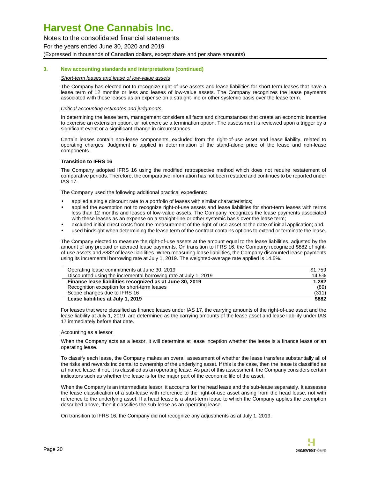Notes to the consolidated financial statements For the years ended June 30, 2020 and 2019 (Expressed in thousands of Canadian dollars, except share and per share amounts)

#### **3. New accounting standards and interpretations (continued)**

#### Short-term leases and lease of low-value assets

The Company has elected not to recognize right-of-use assets and lease liabilities for short-term leases that have a lease term of 12 months or less and leases of low-value assets. The Company recognizes the lease payments associated with these leases as an expense on a straight-line or other systemic basis over the lease term.

#### Critical accounting estimates and judgments

In determining the lease term, management considers all facts and circumstances that create an economic incentive to exercise an extension option, or not exercise a termination option. The assessment is reviewed upon a trigger by a significant event or a significant change in circumstances.

Certain leases contain non-lease components, excluded from the right-of-use asset and lease liability, related to operating charges. Judgment is applied in determination of the stand-alone price of the lease and non-lease components.

#### **Transition to IFRS 16**

The Company adopted IFRS 16 using the modified retrospective method which does not require restatement of comparative periods. Therefore, the comparative information has not been restated and continues to be reported under IAS 17.

The Company used the following additional practical expedients:

- applied a single discount rate to a portfolio of leases with similar characteristics;
- applied the exemption not to recognize right-of-use assets and lease liabilities for short-term leases with terms less than 12 months and leases of low-value assets. The Company recognizes the lease payments associated with these leases as an expense on a straight-line or other systemic basis over the lease term;
- excluded initial direct costs from the measurement of the right-of-use asset at the date of initial application; and
- used hindsight when determining the lease term of the contract contains options to extend or terminate the lease.

The Company elected to measure the right-of-use assets at the amount equal to the lease liabilities, adjusted by the amount of any prepaid or accrued lease payments. On transition to IFRS 16, the Company recognized \$882 of rightof-use assets and \$882 of lease liabilities. When measuring lease liabilities, the Company discounted lease payments using its incremental borrowing rate at July 1, 2019. The weighted-average rate applied is 14.5%.

| Operating lease commitments at June 30, 2019                    | \$1.759 |
|-----------------------------------------------------------------|---------|
| Discounted using the incremental borrowing rate at July 1, 2019 | 14.5%   |
| Finance lease liabilities recognized as at June 30, 2019        | 1.282   |
| Recognition exception for short-term leases                     | (89)    |
| Scope changes due to IFRS 16                                    | (311)   |
| Lease liabilities at July 1, 2019                               | \$882   |

For leases that were classified as finance leases under IAS 17, the carrying amounts of the right-of-use asset and the lease liability at July 1, 2019, are determined as the carrying amounts of the lease asset and lease liability under IAS 17 immediately before that date.

#### Accounting as a lessor

When the Company acts as a lessor, it will determine at lease inception whether the lease is a finance lease or an operating lease.

To classify each lease, the Company makes an overall assessment of whether the lease transfers substantially all of the risks and rewards incidental to ownership of the underlying asset. If this is the case, then the lease is classified as a finance lease; if not, it is classified as an operating lease. As part of this assessment, the Company considers certain indicators such as whether the lease is for the major part of the economic life of the asset.

When the Company is an intermediate lessor, it accounts for the head lease and the sub-lease separately. It assesses the lease classification of a sub-lease with reference to the right-of-use asset arising from the head lease, not with reference to the underlying asset. If a head lease is a short-term lease to which the Company applies the exemption described above, then it classifies the sub-lease as an operating lease.

On transition to IFRS 16, the Company did not recognize any adjustments as at July 1, 2019.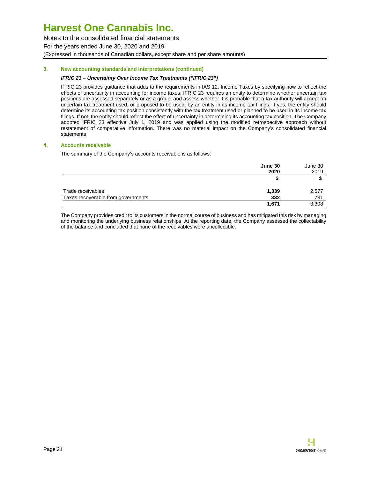Notes to the consolidated financial statements For the years ended June 30, 2020 and 2019 (Expressed in thousands of Canadian dollars, except share and per share amounts)

#### **3. New accounting standards and interpretations (continued)**

#### **IFRIC 23 – Uncertainty Over Income Tax Treatments ("IFRIC 23")**

IFRIC 23 provides guidance that adds to the requirements in IAS 12, Income Taxes by specifying how to reflect the effects of uncertainty in accounting for income taxes. IFRIC 23 requires an entity to determine whether uncertain tax positions are assessed separately or as a group; and assess whether it is probable that a tax authority will accept an uncertain tax treatment used, or proposed to be used, by an entity in its income tax filings. If yes, the entity should determine its accounting tax position consistently with the tax treatment used or planned to be used in its income tax filings. If not, the entity should reflect the effect of uncertainty in determining its accounting tax position. The Company adopted IFRIC 23 effective July 1, 2019 and was applied using the modified retrospective approach without restatement of comparative information. There was no material impact on the Company's consolidated financial statements

#### **4. Accounts receivable**

The summary of the Company's accounts receivable is as follows:

|                                    | June 30 | June 30 |
|------------------------------------|---------|---------|
|                                    | 2020    | 2019    |
|                                    |         |         |
| Trade receivables                  | 1,339   | 2,577   |
| Taxes recoverable from governments | 332     | 731     |
|                                    | 1.671   | 3,308   |

The Company provides credit to its customers in the normal course of business and has mitigated this risk by managing and monitoring the underlying business relationships. At the reporting date, the Company assessed the collectability of the balance and concluded that none of the receivables were uncollectible.

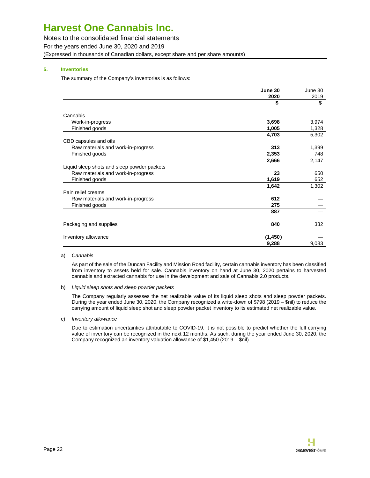Notes to the consolidated financial statements For the years ended June 30, 2020 and 2019 (Expressed in thousands of Canadian dollars, except share and per share amounts)

#### **5. Inventories**

The summary of the Company's inventories is as follows:

|                                             | June 30  | June 30 |
|---------------------------------------------|----------|---------|
|                                             | 2020     | 2019    |
|                                             | \$       | \$      |
| Cannabis                                    |          |         |
| Work-in-progress                            | 3,698    | 3,974   |
| Finished goods                              | 1,005    | 1,328   |
|                                             | 4,703    | 5,302   |
| CBD capsules and oils                       |          |         |
| Raw materials and work-in-progress          | 313      | 1,399   |
| Finished goods                              | 2,353    | 748     |
|                                             | 2,666    | 2,147   |
| Liquid sleep shots and sleep powder packets |          |         |
| Raw materials and work-in-progress          | 23       | 650     |
| Finished goods                              | 1,619    | 652     |
|                                             | 1,642    | 1,302   |
| Pain relief creams                          |          |         |
| Raw materials and work-in-progress          | 612      |         |
| Finished goods                              | 275      |         |
|                                             | 887      |         |
| Packaging and supplies                      | 840      | 332     |
| Inventory allowance                         | (1, 450) |         |
|                                             | 9,288    | 9,083   |

#### a) Cannabis

As part of the sale of the Duncan Facility and Mission Road facility, certain cannabis inventory has been classified from inventory to assets held for sale. Cannabis inventory on hand at June 30, 2020 pertains to harvested cannabis and extracted cannabis for use in the development and sale of Cannabis 2.0 products.

#### b) Liquid sleep shots and sleep powder packets

The Company regularly assesses the net realizable value of its liquid sleep shots and sleep powder packets. During the year ended June 30, 2020, the Company recognized a write-down of \$798 (2019 – \$nil) to reduce the carrying amount of liquid sleep shot and sleep powder packet inventory to its estimated net realizable value.

c) Inventory allowance

Due to estimation uncertainties attributable to COVID-19, it is not possible to predict whether the full carrying value of inventory can be recognized in the next 12 months. As such, during the year ended June 30, 2020, the Company recognized an inventory valuation allowance of \$1,450 (2019 – \$nil).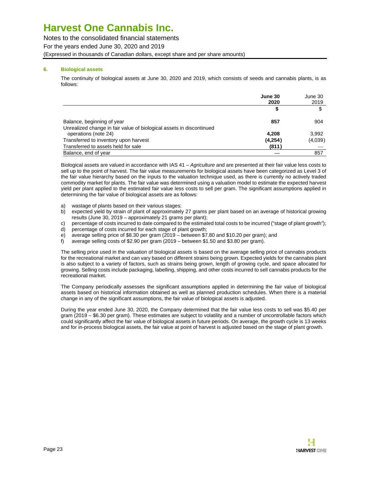Notes to the consolidated financial statements For the years ended June 30, 2020 and 2019 (Expressed in thousands of Canadian dollars, except share and per share amounts)

#### **6. Biological assets**

The continuity of biological assets at June 30, 2020 and 2019, which consists of seeds and cannabis plants, is as follows:

|                                                                      | June 30 | June 30 |
|----------------------------------------------------------------------|---------|---------|
|                                                                      | 2020    | 2019    |
|                                                                      | 5       |         |
| Balance, beginning of year                                           | 857     | 904     |
| Unrealized change in fair value of biological assets in discontinued |         |         |
| operations (note 24)                                                 | 4.208   | 3,992   |
| Transferred to inventory upon harvest                                | (4,254) | (4,039) |
| Transferred to assets held for sale                                  | (811)   |         |
| Balance, end of year                                                 |         | 857     |

Biological assets are valued in accordance with IAS 41 – Agriculture and are presented at their fair value less costs to sell up to the point of harvest. The fair value measurements for biological assets have been categorized as Level 3 of the fair value hierarchy based on the inputs to the valuation technique used, as there is currently no actively traded commodity market for plants. The fair value was determined using a valuation model to estimate the expected harvest yield per plant applied to the estimated fair value less costs to sell per gram. The significant assumptions applied in determining the fair value of biological assets are as follows:

- a) wastage of plants based on their various stages;
- b) expected yield by strain of plant of approximately 27 grams per plant based on an average of historical growing results (June 30, 2019 – approximately 21 grams per plant);
- c) percentage of costs incurred to date compared to the estimated total costs to be incurred ("stage of plant growth");
- d) percentage of costs incurred for each stage of plant growth;
- e) average selling price of \$8.30 per gram (2019 between \$7.80 and \$10.20 per gram); and
- f) average selling costs of \$2.90 per gram (2019 between \$1.50 and \$3.80 per gram).

The selling price used in the valuation of biological assets is based on the average selling price of cannabis products for the recreational market and can vary based on different strains being grown. Expected yields for the cannabis plant is also subject to a variety of factors, such as strains being grown, length of growing cycle, and space allocated for growing. Selling costs include packaging, labelling, shipping, and other costs incurred to sell cannabis products for the recreational market.

The Company periodically assesses the significant assumptions applied in determining the fair value of biological assets based on historical information obtained as well as planned production schedules. When there is a material change in any of the significant assumptions, the fair value of biological assets is adjusted.

During the year ended June 30, 2020, the Company determined that the fair value less costs to sell was \$5.40 per gram (2019 – \$6.30 per gram). These estimates are subject to volatility and a number of uncontrollable factors which could significantly affect the fair value of biological assets in future periods. On average, the growth cycle is 13 weeks and for in-process biological assets, the fair value at point of harvest is adjusted based on the stage of plant growth.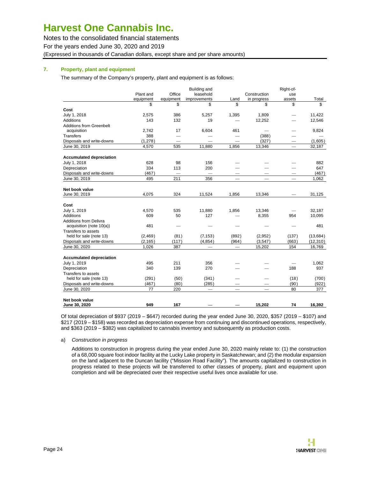Notes to the consolidated financial statements For the years ended June 30, 2020 and 2019 (Expressed in thousands of Canadian dollars, except share and per share amounts)

#### **7. Property, plant and equipment**

The summary of the Company's property, plant and equipment is as follows:

|                                 |           |                                  | <b>Building and</b>             |                               |                          | Right-of-                       |           |
|---------------------------------|-----------|----------------------------------|---------------------------------|-------------------------------|--------------------------|---------------------------------|-----------|
|                                 | Plant and | Office                           | leasehold                       |                               | Construction             | use                             |           |
|                                 | equipment | equipment                        | improvements                    | Land                          | in progress              | assets                          | Total     |
|                                 | \$        | \$                               | \$                              | \$                            | \$                       | \$                              | \$        |
| Cost                            |           |                                  |                                 |                               |                          |                                 |           |
| July 1, 2018                    | 2,575     | 386                              | 5,257                           | 1,395                         | 1,809                    |                                 | 11,422    |
| Additions                       | 143       | 132                              | 19                              |                               | 12,252                   |                                 | 12,546    |
| <b>Additions from Greenbelt</b> |           |                                  |                                 |                               |                          |                                 |           |
| acquisition                     | 2,742     | 17                               | 6,604                           | 461                           |                          |                                 | 9,824     |
| <b>Transfers</b>                | 388       |                                  |                                 |                               | (388)                    |                                 |           |
| Disposals and write-downs       | (1,278)   | $\qquad \qquad$                  |                                 | $\overline{\phantom{0}}$      | (327)                    |                                 | (1,605)   |
| June 30, 2019                   | 4,570     | 535                              | 11,880                          | 1,856                         | 13,346                   | $\overbrace{\qquad \qquad }^{}$ | 32,187    |
| <b>Accumulated depreciation</b> |           |                                  |                                 |                               |                          |                                 |           |
| July 1, 2018                    | 628       | 98                               | 156                             |                               |                          |                                 | 882       |
| Depreciation                    | 334       | 113                              | 200                             |                               |                          | $\overline{\phantom{0}}$        | 647       |
| Disposals and write-downs       | (467)     | $\overbrace{\phantom{12322111}}$ | $\overline{\phantom{m}}$        |                               |                          | $\hspace{0.1mm}-\hspace{0.1mm}$ | (467)     |
| June 30, 2019                   | 495       | 211                              | 356                             |                               | $\overline{\phantom{0}}$ | $\overline{\phantom{m}}$        | 1,062     |
|                                 |           |                                  |                                 |                               |                          |                                 |           |
| Net book value                  |           |                                  |                                 |                               |                          |                                 |           |
| June 30, 2019                   | 4,075     | 324                              | 11,524                          | 1,856                         | 13,346                   |                                 | 31,125    |
| Cost                            |           |                                  |                                 |                               |                          |                                 |           |
| July 1, 2019                    | 4,570     | 535                              | 11,880                          | 1,856                         | 13,346                   |                                 | 32,187    |
| Additions                       | 609       | 50                               | 127                             |                               | 8,355                    | 954                             | 10,095    |
| <b>Additions from Delivra</b>   |           |                                  |                                 |                               |                          |                                 |           |
| acquisition (note 10(a))        | 481       |                                  |                                 |                               |                          |                                 | 481       |
| Transfers to assets             |           |                                  |                                 |                               |                          |                                 |           |
| held for sale (note 13)         | (2,469)   | (81)                             | (7, 153)                        | (892)                         | (2,952)                  | (137)                           | (13, 684) |
| Disposals and write-downs       | (2, 165)  | (117)                            | (4,854)                         | (964)                         | (3,547)                  | (663)                           | (12, 310) |
| June 30, 2020                   | 1,026     | 387                              | $\overbrace{\qquad \qquad }^{}$ | $\overbrace{\phantom{12333}}$ | 15,202                   | 154                             | 16,769    |
| <b>Accumulated depreciation</b> |           |                                  |                                 |                               |                          |                                 |           |
| July 1, 2019                    | 495       | 211                              | 356                             |                               |                          |                                 | 1,062     |
| Depreciation                    | 340       | 139                              | 270                             |                               |                          | 188                             | 937       |
| Transfers to assets             |           |                                  |                                 |                               |                          |                                 |           |
| held for sale (note 13)         | (291)     | (50)                             | (341)                           |                               |                          | (18)                            | (700)     |
| Disposals and write-downs       | (467)     | (80)                             | (285)                           |                               |                          | (90)                            | (922)     |
| June 30, 2020                   | 77        | 220                              | $\overbrace{\phantom{12333}}$   |                               |                          | 80                              | 377       |
|                                 |           |                                  |                                 |                               |                          |                                 |           |
| Net book value                  | 949       | 167                              |                                 |                               | 15,202                   | 74                              | 16,392    |
| June 30, 2020                   |           |                                  |                                 |                               |                          |                                 |           |

Of total depreciation of \$937 (2019 – \$647) recorded during the year ended June 30, 2020, \$357 (2019 – \$107) and \$217 (2019 – \$158) was recorded as depreciation expense from continuing and discontinued operations, respectively, and \$363 (2019 – \$382) was capitalized to cannabis inventory and subsequently as production costs.

#### a) Construction in progress

Additions to construction in progress during the year ended June 30, 2020 mainly relate to: (1) the construction of a 68,000 square foot indoor facility at the Lucky Lake property in Saskatchewan; and (2) the modular expansion on the land adjacent to the Duncan facility ("Mission Road Facility"). The amounts capitalized to construction in progress related to these projects will be transferred to other classes of property, plant and equipment upon completion and will be depreciated over their respective useful lives once available for use.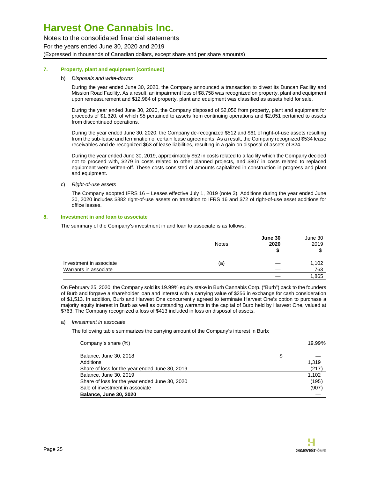Notes to the consolidated financial statements For the years ended June 30, 2020 and 2019 (Expressed in thousands of Canadian dollars, except share and per share amounts)

#### **7. Property, plant and equipment (continued)**

#### b) Disposals and write-downs

During the year ended June 30, 2020, the Company announced a transaction to divest its Duncan Facility and Mission Road Facility. As a result, an impairment loss of \$8,758 was recognized on property, plant and equipment upon remeasurement and \$12,984 of property, plant and equipment was classified as assets held for sale.

During the year ended June 30, 2020, the Company disposed of \$2,056 from property, plant and equipment for proceeds of \$1,320, of which \$5 pertained to assets from continuing operations and \$2,051 pertained to assets from discontinued operations.

During the year ended June 30, 2020, the Company de-recognized \$512 and \$61 of right-of-use assets resulting from the sub-lease and termination of certain lease agreements. As a result, the Company recognized \$534 lease receivables and de-recognized \$63 of lease liabilities, resulting in a gain on disposal of assets of \$24.

During the year ended June 30, 2019, approximately \$52 in costs related to a facility which the Company decided not to proceed with, \$279 in costs related to other planned projects, and \$807 in costs related to replaced equipment were written-off. These costs consisted of amounts capitalized in construction in progress and plant and equipment.

c) Right-of-use assets

The Company adopted IFRS 16 – Leases effective July 1, 2019 (note 3). Additions during the year ended June 30, 2020 includes \$882 right-of-use assets on transition to IFRS 16 and \$72 of right-of-use asset additions for office leases.

#### **8. Investment in and loan to associate**

The summary of the Company's investment in and loan to associate is as follows:

|                         |              | June 30 | June 30 |
|-------------------------|--------------|---------|---------|
|                         | <b>Notes</b> | 2020    | 2019    |
|                         |              |         |         |
| Investment in associate | (a)          |         | 1,102   |
| Warrants in associate   |              |         | 763     |
|                         |              |         | 1,865   |

On February 25, 2020, the Company sold its 19.99% equity stake in Burb Cannabis Corp. ("Burb") back to the founders of Burb and forgave a shareholder loan and interest with a carrying value of \$256 in exchange for cash consideration of \$1,513. In addition, Burb and Harvest One concurrently agreed to terminate Harvest One's option to purchase a majority equity interest in Burb as well as outstanding warrants in the capital of Burb held by Harvest One, valued at \$763. The Company recognized a loss of \$413 included in loss on disposal of assets.

#### a) Investment in associate

The following table summarizes the carrying amount of the Company's interest in Burb:

| Company's share (%)                            | 19.99% |
|------------------------------------------------|--------|
| Balance, June 30, 2018                         | \$     |
| Additions                                      | 1.319  |
| Share of loss for the year ended June 30, 2019 | (217)  |
| Balance, June 30, 2019                         | 1.102  |
| Share of loss for the year ended June 30, 2020 | (195)  |
| Sale of investment in associate                | (907)  |
| <b>Balance, June 30, 2020</b>                  |        |

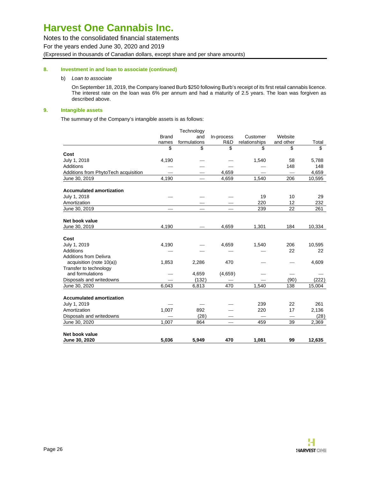Notes to the consolidated financial statements For the years ended June 30, 2020 and 2019 (Expressed in thousands of Canadian dollars, except share and per share amounts)

#### **8. Investment in and loan to associate (continued)**

b) Loan to associate

On September 18, 2019, the Company loaned Burb \$250 following Burb's receipt of its first retail cannabis licence. The interest rate on the loan was 6% per annum and had a maturity of 2.5 years. The loan was forgiven as described above.

#### **9. Intangible assets**

The summary of the Company's intangible assets is as follows:

|                                      |              | Technology   |            |                          |                          |        |
|--------------------------------------|--------------|--------------|------------|--------------------------|--------------------------|--------|
|                                      | <b>Brand</b> | and          | In-process | Customer                 | Website                  |        |
|                                      | names        | formulations | R&D        | relationships            | and other                | Total  |
|                                      | \$           | \$           | \$         | \$                       | \$                       | \$     |
| Cost                                 |              |              |            |                          |                          |        |
| July 1, 2018                         | 4,190        |              |            | 1,540                    | 58                       | 5,788  |
| Additions                            |              |              |            |                          | 148                      | 148    |
| Additions from PhytoTech acquisition |              |              | 4.659      |                          | $\overline{\phantom{a}}$ | 4,659  |
| June 30, 2019                        | 4,190        |              | 4,659      | 1,540                    | 206                      | 10,595 |
| <b>Accumulated amortization</b>      |              |              |            |                          |                          |        |
| July 1, 2018                         |              |              |            | 19                       | 10                       | 29     |
| Amortization                         |              |              |            | 220                      | 12                       | 232    |
| June 30, 2019                        |              |              |            | 239                      | 22                       | 261    |
| Net book value                       |              |              |            |                          |                          |        |
| June 30, 2019                        | 4,190        |              | 4,659      | 1,301                    | 184                      | 10,334 |
| Cost                                 |              |              |            |                          |                          |        |
| July 1, 2019                         | 4,190        |              | 4,659      | 1,540                    | 206                      | 10,595 |
| <b>Additions</b>                     |              |              |            |                          | 22                       | 22     |
| <b>Additions from Delivra</b>        |              |              |            |                          |                          |        |
| acquisition (note 10(a))             | 1,853        | 2,286        | 470        |                          |                          | 4,609  |
| Transfer to technology               |              |              |            |                          |                          |        |
| and formulations                     |              | 4,659        | (4,659)    |                          |                          |        |
| Disposals and writedowns             |              | (132)        |            |                          | (90)                     | (222)  |
| June 30, 2020                        | 6,043        | 6,813        | 470        | 1,540                    | 138                      | 15,004 |
| <b>Accumulated amortization</b>      |              |              |            |                          |                          |        |
| July 1, 2019                         |              |              |            | 239                      | 22                       | 261    |
| Amortization                         | 1,007        | 892          |            | 220                      | 17                       | 2,136  |
| Disposals and writedowns             |              | (28)         |            | $\overline{\phantom{0}}$ | $\overline{\phantom{0}}$ | (28)   |
| June 30, 2020                        | 1,007        | 864          |            | 459                      | 39                       | 2,369  |
| Net book value                       |              |              |            |                          |                          |        |
| June 30, 2020                        | 5,036        | 5,949        | 470        | 1,081                    | 99                       | 12,635 |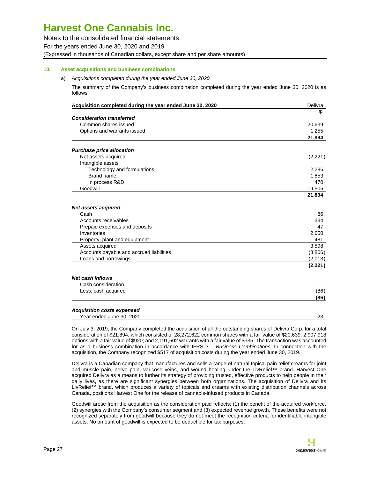Notes to the consolidated financial statements For the years ended June 30, 2020 and 2019 (Expressed in thousands of Canadian dollars, except share and per share amounts)

#### **10. Asset acquisitions and business combinations**

#### a) Acquisitions completed during the year ended June 30, 2020

The summary of the Company's business combination completed during the year ended June 30, 2020 is as follows:

| Acquisition completed during the year ended June 30, 2020     | Delivra |
|---------------------------------------------------------------|---------|
|                                                               | \$      |
| <b>Consideration transferred</b>                              |         |
| Common shares issued                                          | 20,639  |
| Options and warrants issued                                   | 1.255   |
|                                                               | 21,894  |
| <b>Purchase price allocation</b>                              |         |
| Net assets acquired                                           | (2,221) |
| Intangible assets                                             |         |
| Technology and formulations                                   | 2,286   |
| Brand name                                                    | 1,853   |
| In process R&D                                                | 470     |
| Goodwill                                                      | 19,506  |
|                                                               | 21,894  |
| <b>Net assets acquired</b>                                    |         |
| Cash                                                          | 86      |
| Accounts receivables                                          | 334     |
| Prepaid expenses and deposits                                 | 47      |
| Inventories                                                   | 2,650   |
| Property, plant and equipment                                 | 481     |
| Assets acquired                                               | 3,598   |
| Accounts payable and accrued liabilities                      | (3,806) |
| Loans and borrowings                                          | (2,013) |
|                                                               | (2,221) |
| <b>Net cash inflows</b>                                       |         |
| Cash consideration                                            |         |
| Less: cash acquired                                           | (86)    |
|                                                               | (86)    |
|                                                               |         |
| <b>Acquisition costs expensed</b><br>Year ended June 30, 2020 | 23      |

On July 3, 2019, the Company completed the acquisition of all the outstanding shares of Delivra Corp. for a total consideration of \$21,894, which consisted of 28,272,622 common shares with a fair value of \$20,639; 2,907,918 options with a fair value of \$920; and 2,191,502 warrants with a fair value of \$335. The transaction was accounted for as a business combination in accordance with IFRS 3 - Business Combinations. In connection with the acquisition, the Company recognized \$517 of acquisition costs during the year ended June 30, 2019.

Delivra is a Canadian company that manufactures and sells a range of natural topical pain relief creams for joint and muscle pain, nerve pain, varicose veins, and wound healing under the LivRelief™ brand. Harvest One acquired Delivra as a means to further its strategy of providing trusted, effective products to help people in their daily lives, as there are significant synergies between both organizations. The acquisition of Delivra and its LivRelief™ brand, which produces a variety of topicals and creams with existing distribution channels across Canada, positions Harvest One for the release of cannabis-infused products in Canada.

Goodwill arose from the acquisition as the consideration paid reflects: (1) the benefit of the acquired workforce, (2) synergies with the Company's consumer segment and (3) expected revenue growth. These benefits were not recognized separately from goodwill because they do not meet the recognition criteria for identifiable intangible assets. No amount of goodwill is expected to be deductible for tax purposes.

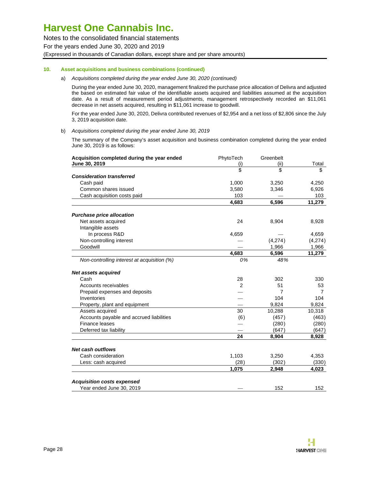Notes to the consolidated financial statements For the years ended June 30, 2020 and 2019 (Expressed in thousands of Canadian dollars, except share and per share amounts)

#### **10. Asset acquisitions and business combinations (continued)**

#### a) Acquisitions completed during the year ended June 30, 2020 (continued)

During the year ended June 30, 2020, management finalized the purchase price allocation of Delivra and adjusted the based on estimated fair value of the identifiable assets acquired and liabilities assumed at the acquisition date. As a result of measurement period adjustments, management retrospectively recorded an \$11,061 decrease in net assets acquired, resulting in \$11,061 increase to goodwill.

For the year ended June 30, 2020, Delivra contributed revenues of \$2,954 and a net loss of \$2,806 since the July 3, 2019 acquisition date.

#### b) Acquisitions completed during the year ended June 30, 2019

The summary of the Company's asset acquisition and business combination completed during the year ended June 30, 2019 is as follows:

| Acquisition completed during the year ended | PhytoTech | Greenbelt |         |
|---------------------------------------------|-----------|-----------|---------|
| June 30, 2019                               | (i)       | (ii)      | Total   |
|                                             | \$        | \$        | \$      |
| <b>Consideration transferred</b>            |           |           |         |
| Cash paid                                   | 1,000     | 3,250     | 4,250   |
| Common shares issued                        | 3,580     | 3,346     | 6,926   |
| Cash acquisition costs paid                 | 103       |           | 103     |
|                                             | 4,683     | 6,596     | 11,279  |
| <b>Purchase price allocation</b>            |           |           |         |
| Net assets acquired                         | 24        | 8,904     | 8,928   |
| Intangible assets                           |           |           |         |
| In process R&D                              | 4,659     |           | 4,659   |
| Non-controlling interest                    |           | (4,274)   | (4,274) |
| Goodwill                                    |           | 1,966     | 1,966   |
|                                             | 4,683     | 6,596     | 11,279  |
| Non-controlling interest at acquisition (%) | 0%        | 48%       |         |
| <b>Net assets acquired</b>                  |           |           |         |
| Cash                                        | 28        | 302       | 330     |
| Accounts receivables                        | 2         | 51        | 53      |
| Prepaid expenses and deposits               |           | 7         | 7       |
| Inventories                                 |           | 104       | 104     |
| Property, plant and equipment               |           | 9,824     | 9,824   |
| Assets acquired                             | 30        | 10,288    | 10,318  |
| Accounts payable and accrued liabilities    | (6)       | (457)     | (463)   |
| Finance leases                              |           | (280)     | (280)   |
| Deferred tax liability                      |           | (647)     | (647)   |
|                                             | 24        | 8,904     | 8,928   |
| <b>Net cash outflows</b>                    |           |           |         |
| Cash consideration                          | 1,103     | 3,250     | 4,353   |
| Less: cash acquired                         | (28)      | (302)     | (330)   |
|                                             | 1,075     | 2,948     | 4,023   |
| <b>Acquisition costs expensed</b>           |           |           |         |
| Year ended June 30, 2019                    |           | 152       | 152     |

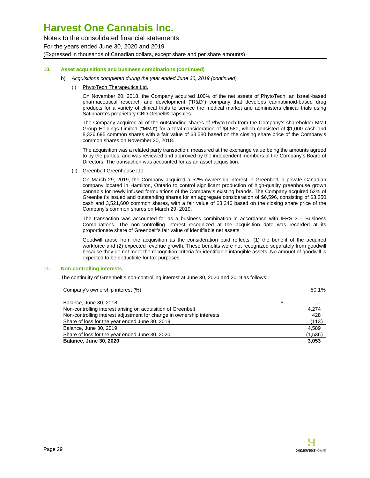Notes to the consolidated financial statements For the years ended June 30, 2020 and 2019 (Expressed in thousands of Canadian dollars, except share and per share amounts)

#### **10. Asset acquisitions and business combinations (continued)**

- b) Acquisitions completed during the year ended June 30, 2019 (continued)
	- (i) PhytoTech Therapeutics Ltd.

On November 20, 2018, the Company acquired 100% of the net assets of PhytoTech, an Israeli-based pharmaceutical research and development ("R&D") company that develops cannabinoid-based drug products for a variety of clinical trials to service the medical market and administers clinical trials using Satipharm's proprietary CBD Gelpell® capsules.

The Company acquired all of the outstanding shares of PhytoTech from the Company's shareholder MMJ Group Holdings Limited ("MMJ") for a total consideration of \$4,580, which consisted of \$1,000 cash and 8,326,695 common shares with a fair value of \$3,580 based on the closing share price of the Company's common shares on November 20, 2018.

The acquisition was a related party transaction, measured at the exchange value being the amounts agreed to by the parties, and was reviewed and approved by the independent members of the Company's Board of Directors. The transaction was accounted for as an asset acquisition.

(ii) Greenbelt Greenhouse Ltd.

On March 29, 2019, the Company acquired a 52% ownership interest in Greenbelt, a private Canadian company located in Hamilton, Ontario to control significant production of high-quality greenhouse grown cannabis for newly infused formulations of the Company's existing brands. The Company acquired 52% of Greenbelt's issued and outstanding shares for an aggregate consideration of \$6,596, consisting of \$3,250 cash and 3,521,600 common shares, with a fair value of \$3,346 based on the closing share price of the Company's common shares on March 29, 2019.

The transaction was accounted for as a business combination in accordance with IFRS 3 – Business Combinations. The non-controlling interest recognized at the acquisition date was recorded at its proportionate share of Greenbelt's fair value of identifiable net assets.

Goodwill arose from the acquisition as the consideration paid reflects: (1) the benefit of the acquired workforce and (2) expected revenue growth. These benefits were not recognized separately from goodwill because they do not meet the recognition criteria for identifiable intangible assets. No amount of goodwill is expected to be deductible for tax purposes.

#### **11. Non-controlling interests**

The continuity of Greenbelt's non-controlling interest at June 30, 2020 and 2019 as follows:

| Company's ownership interest (%)                                      | 50.1%   |
|-----------------------------------------------------------------------|---------|
| Balance, June 30, 2018                                                | \$      |
| Non-controlling interest arising on acquisition of Greenbelt          | 4.274   |
| Non-controlling interest adjustment for change in ownership interests | 428     |
| Share of loss for the year ended June 30, 2019                        | (113)   |
| Balance, June 30, 2019                                                | 4,589   |
| Share of loss for the year ended June 30, 2020                        | (1,536) |
| <b>Balance, June 30, 2020</b>                                         | 3,053   |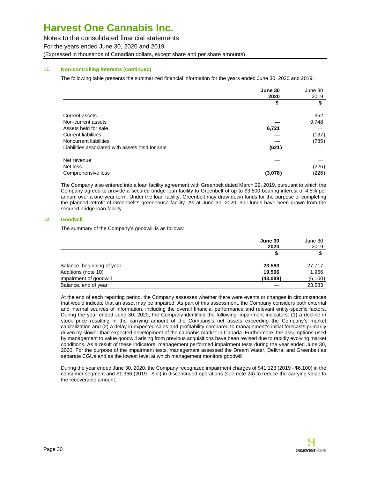Notes to the consolidated financial statements For the years ended June 30, 2020 and 2019 (Expressed in thousands of Canadian dollars, except share and per share amounts)

#### **11. Non-controlling interests (continued)**

The following table presents the summarized financial information for the years ended June 30, 2020 and 2019:

|                                                  | June 30 | June 30 |
|--------------------------------------------------|---------|---------|
|                                                  | 2020    | 2019    |
|                                                  | \$      | \$      |
| Current assets                                   |         | 352     |
| Non-current assets                               |         | 9,748   |
| Assets held for sale                             | 6,721   |         |
| Current liabilities                              |         | (137)   |
| Noncurrent liabilities                           |         | (785)   |
| Liabilities associated with assets held for sale | (621)   |         |
| Net revenue                                      |         |         |
| Net loss                                         |         | (226)   |
| Comprehensive loss                               | (3,078) | (226)   |

The Company also entered into a loan facility agreement with Greenbelt dated March 29, 2019, pursuant to which the Company agreed to provide a secured bridge loan facility to Greenbelt of up to \$3,500 bearing interest of 4.5% per annum over a one-year term. Under the loan facility, Greenbelt may draw down funds for the purpose of completing the planned retrofit of Greenbelt's greenhouse facility. As at June 30, 2020, \$nil funds have been drawn from the secured bridge loan facility.

#### **12. Goodwill**

The summary of the Company's goodwill is as follows:

|                            | June 30<br>2020 | June 30  |  |
|----------------------------|-----------------|----------|--|
|                            |                 | 2019     |  |
|                            | \$              | \$       |  |
| Balance, beginning of year | 23.583          | 27,717   |  |
| Additions (note 10)        | 19.506          | 1,966    |  |
| Impairment of goodwill     | (43,089)        | (6, 100) |  |
| Balance, end of year       |                 | 23,583   |  |

At the end of each reporting period, the Company assesses whether there were events or changes in circumstances that would indicate that an asset may be impaired. As part of this assessment, the Company considers both external and internal sources of information, including the overall financial performance and relevant entity-specific factors. During the year ended June 30, 2020, the Company identified the following impairment indicators: (1) a decline in stock price resulting in the carrying amount of the Company's net assets exceeding the Company's market capitalization and (2) a delay in expected sales and profitability compared to management's initial forecasts primarily driven by slower than expected development of the cannabis market in Canada. Furthermore, the assumptions used by management to value goodwill arising from previous acquisitions have been revised due to rapidly evolving market conditions. As a result of these indicators, management performed impairment tests during the year ended June 30, 2020. For the purpose of the impairment tests, management assessed the Dream Water, Delivra, and Greenbelt as separate CGUs and as the lowest level at which management monitors goodwill.

During the year ended June 30, 2020, the Company recognized impairment charges of \$41,123 (2019 - \$6,100) in the consumer segment and \$1,966 (2019 - \$nil) in discontinued operations (see note 24) to reduce the carrying value to the recoverable amount.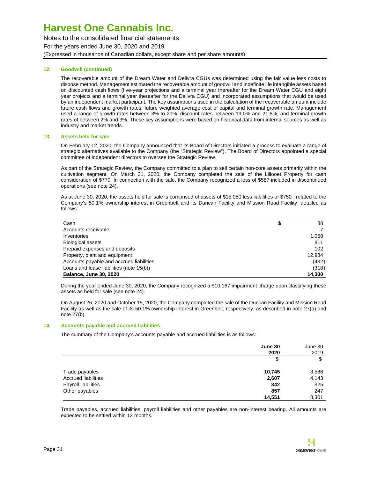Notes to the consolidated financial statements For the years ended June 30, 2020 and 2019 (Expressed in thousands of Canadian dollars, except share and per share amounts)

#### **12. Goodwill (continued)**

The recoverable amount of the Dream Water and Delivra CGUs was determined using the fair value less costs to dispose method. Management estimated the recoverable amount of goodwill and indefinite life intangible assets based on discounted cash flows (five-year projections and a terminal year thereafter for the Dream Water CGU and eight year projects and a terminal year thereafter for the Delivra CGU) and incorporated assumptions that would be used by an independent market participant. The key assumptions used in the calculation of the recoverable amount include future cash flows and growth rates, future weighted average cost of capital and terminal growth rate. Management used a range of growth rates between 3% to 20%, discount rates between 19.0% and 21.6%, and terminal growth rates of between 2% and 3%. These key assumptions were based on historical data from internal sources as well as industry and market trends.

#### **13. Assets held for sale**

On February 12, 2020, the Company announced that its Board of Directors initiated a process to evaluate a range of strategic alternatives available to the Company (the "Strategic Review"). The Board of Directors appointed a special committee of independent directors to oversee the Strategic Review.

As part of the Strategic Review, the Company committed to a plan to sell certain non-core assets primarily within the cultivation segment. On March 31, 2020, the Company completed the sale of the Lillooet Property for cash consideration of \$770. In connection with the sale, the Company recognized a loss of \$587 included in discontinued operations (see note 24).

As at June 30, 2020, the assets held for sale is comprised of assets of \$15,050 less liabilities of \$750 , related to the Company's 50.1% ownership interest in Greenbelt and its Duncan Facility and Mission Road Facility, detailed as follows:

| Cash                                     | \$<br>88 |
|------------------------------------------|----------|
| Accounts receivable                      |          |
| Inventories                              | 1,058    |
| <b>Biological assets</b>                 | 811      |
| Prepaid expenses and deposits            | 102      |
| Property, plant and equipment            | 12.984   |
| Accounts payable and accrued liabilities | (432)    |
| Loans and lease liabilities (note 15(b)) | (318)    |
| <b>Balance, June 30, 2020</b>            | 14.300   |

During the year ended June 30, 2020, the Company recognized a \$10,167 impairment charge upon classifying these assets as held for sale (see note 24).

On August 26, 2020 and October 15, 2020, the Company completed the sale of the Duncan Facility and Mission Road Facility as well as the sale of its 50.1% ownership interest in Greenbelt, respectively, as described in note 27(a) and note 27(b).

#### **14. Accounts payable and accrued liabilities**

The summary of the Company's accounts payable and accrued liabilities is as follows:

|                            | June 30<br>2020 | June 30<br>2019 |
|----------------------------|-----------------|-----------------|
|                            | \$              | \$              |
| Trade payables             | 10,745          | 3,586           |
| <b>Accrued liabilities</b> | 2,607           | 4,143           |
| Payroll liabilities        | 342             | 325             |
| Other payables             | 857             | 247             |
|                            | 14.551          | 8,301           |

Trade payables, accrued liabilities, payroll liabilities and other payables are non-interest bearing. All amounts are expected to be settled within 12 months.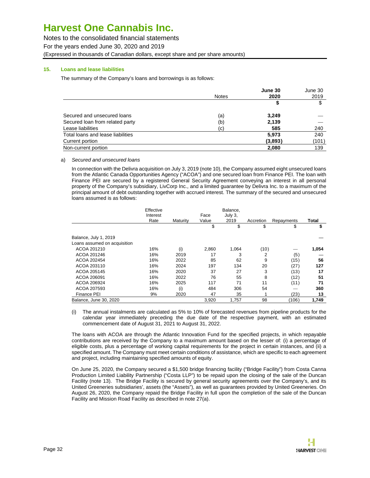Notes to the consolidated financial statements For the years ended June 30, 2020 and 2019 (Expressed in thousands of Canadian dollars, except share and per share amounts)

#### **15. Loans and lease liabilities**

The summary of the Company's loans and borrowings is as follows:

|                                   |              | June 30 | June 30 |
|-----------------------------------|--------------|---------|---------|
|                                   | <b>Notes</b> | 2020    | 2019    |
|                                   |              | S       | \$      |
| Secured and unsecured loans       | (a)          | 3,249   |         |
| Secured loan from related party   | (b)          | 2,139   |         |
| Lease liabilities                 | (c)          | 585     | 240     |
| Total loans and lease liabilities |              | 5.973   | 240     |
| Current portion                   |              | (3,893) | (101)   |
| Non-current portion               |              | 2,080   | 139     |

#### a) Secured and unsecured loans

In connection with the Delivra acquisition on July 3, 2019 (note 10), the Company assumed eight unsecured loans from the Atlantic Canada Opportunities Agency ("ACOA") and one secured loan from Finance PEI. The loan with Finance PEI are secured by a registered General Security Agreement conveying an interest in all personal property of the Company's subsidiary, LivCorp Inc., and a limited guarantee by Delivra Inc. to a maximum of the principal amount of debt outstanding together with accrued interest. The summary of the secured and unsecured loans assumed is as follows:

|                              | Effective<br>Interest |          | Face  | Balance.<br>July 3, |           |            |              |
|------------------------------|-----------------------|----------|-------|---------------------|-----------|------------|--------------|
|                              | Rate                  | Maturity | Value | 2019                | Accretion | Repayments | <b>Total</b> |
|                              |                       |          | \$    | \$                  | \$        | \$         | \$           |
| Balance, July 1, 2019        |                       |          |       |                     |           |            |              |
| Loans assumed on acquisition |                       |          |       |                     |           |            |              |
| ACOA 201210                  | 16%                   | (i)      | 2,860 | 1,064               | (10)      |            | 1,054        |
| ACOA 201246                  | 16%                   | 2019     | 17    | 3                   | 2         | (5)        |              |
| ACOA 202454                  | 16%                   | 2022     | 85    | 62                  | 9         | (15)       | 56           |
| ACOA 203110                  | 16%                   | 2024     | 197   | 134                 | 20        | (27)       | 127          |
| ACOA 205145                  | 16%                   | 2020     | 37    | 27                  | 3         | (13)       | 17           |
| ACOA 206091                  | 16%                   | 2022     | 76    | 55                  | 8         | (12)       | 51           |
| ACOA 206924                  | 16%                   | 2025     | 117   | 71                  | 11        | (11)       | 71           |
| ACOA 207593                  | 16%                   | (i)      | 484   | 306                 | 54        |            | 360          |
| <b>Finance PEI</b>           | 9%                    | 2020     | 47    | 35                  |           | (23)       | 13           |
| Balance, June 30, 2020       |                       |          | 3,920 | 1,757               | 98        | (106)      | 1,749        |

(i) The annual instalments are calculated as 5% to 10% of forecasted revenues from pipeline products for the calendar year immediately preceding the due date of the respective payment, with an estimated commencement date of August 31, 2021 to August 31, 2022.

The loans with ACOA are through the Atlantic Innovation Fund for the specified projects, in which repayable contributions are received by the Company to a maximum amount based on the lesser of: (i) a percentage of eligible costs, plus a percentage of working capital requirements for the project in certain instances, and (ii) a specified amount. The Company must meet certain conditions of assistance, which are specific to each agreement and project, including maintaining specified amounts of equity.

On June 25, 2020, the Company secured a \$1,500 bridge financing facility ("Bridge Facility") from Costa Canna Production Limited Liability Partnership ("Costa LLP") to be repaid upon the closing of the sale of the Duncan Facility (note 13). The Bridge Facility is secured by general security agreements over the Company's, and its United Greeneries subsidiaries', assets (the "Assets"), as well as guarantees provided by United Greeneries. On August 26, 2020, the Company repaid the Bridge Facility in full upon the completion of the sale of the Duncan Facility and Mission Road Facility as described in note 27(a).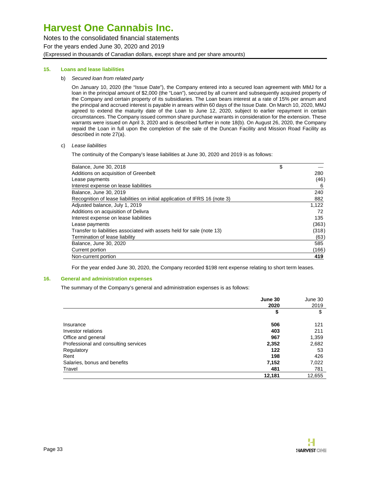Notes to the consolidated financial statements For the years ended June 30, 2020 and 2019 (Expressed in thousands of Canadian dollars, except share and per share amounts)

#### **15. Loans and lease liabilities**

b) Secured loan from related party

On January 10, 2020 (the "Issue Date"), the Company entered into a secured loan agreement with MMJ for a loan in the principal amount of \$2,000 (the "Loan"), secured by all current and subsequently acquired property of the Company and certain property of its subsidiaries. The Loan bears interest at a rate of 15% per annum and the principal and accrued interest is payable in arrears within 60 days of the Issue Date. On March 10, 2020, MMJ agreed to extend the maturity date of the Loan to June 12, 2020, subject to earlier repayment in certain circumstances. The Company issued common share purchase warrants in consideration for the extension. These warrants were issued on April 3, 2020 and is described further in note 18(b). On August 26, 2020, the Company repaid the Loan in full upon the completion of the sale of the Duncan Facility and Mission Road Facility as described in note 27(a).

c) Lease liabilities

The continuity of the Company's lease liabilities at June 30, 2020 and 2019 is as follows:

| Balance, June 30, 2018                                                      | \$    |
|-----------------------------------------------------------------------------|-------|
| Additions on acquisition of Greenbelt                                       | 280   |
| Lease payments                                                              | (46)  |
| Interest expense on lease liabilities                                       | 6     |
| Balance, June 30, 2019                                                      | 240   |
| Recognition of lease liabilities on initial application of IFRS 16 (note 3) | 882   |
| Adjusted balance, July 1, 2019                                              | 1,122 |
| Additions on acquisition of Delivra                                         | 72    |
| Interest expense on lease liabilities                                       | 135   |
| Lease payments                                                              | (363) |
| Transfer to liabilities associated with assets held for sale (note 13)      | (318) |
| Termination of lease liability                                              | (63)  |
| Balance, June 30, 2020                                                      | 585   |
| Current portion                                                             | (166) |
| Non-current portion                                                         | 419   |

For the year ended June 30, 2020, the Company recorded \$198 rent expense relating to short term leases.

#### **16. General and administration expenses**

The summary of the Company's general and administration expenses is as follows:

|                                      | June 30 | June 30 |
|--------------------------------------|---------|---------|
|                                      | 2020    | 2019    |
|                                      | \$      | \$      |
| Insurance                            | 506     | 121     |
| Investor relations                   | 403     | 211     |
| Office and general                   | 967     | 1,359   |
| Professional and consulting services | 2,352   | 2,682   |
| Regulatory                           | 122     | 53      |
| Rent                                 | 198     | 426     |
| Salaries, bonus and benefits         | 7,152   | 7,022   |
| Travel                               | 481     | 781     |
|                                      | 12,181  | 12,655  |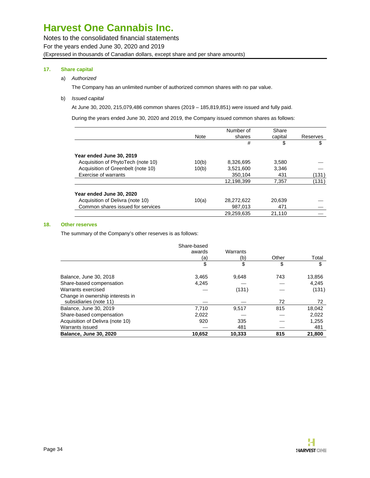Notes to the consolidated financial statements For the years ended June 30, 2020 and 2019 (Expressed in thousands of Canadian dollars, except share and per share amounts)

#### **17. Share capital**

#### a) Authorized

The Company has an unlimited number of authorized common shares with no par value.

#### b) Issued capital

At June 30, 2020, 215,079,486 common shares (2019 – 185,819,851) were issued and fully paid.

During the years ended June 30, 2020 and 2019, the Company issued common shares as follows:

|                                    | Note  | Number of<br>shares | Share<br>capital | Reserves |
|------------------------------------|-------|---------------------|------------------|----------|
|                                    |       | #                   | \$               | \$       |
| Year ended June 30, 2019           |       |                     |                  |          |
| Acquisition of PhytoTech (note 10) | 10(b) | 8,326,695           | 3,580            |          |
| Acquisition of Greenbelt (note 10) | 10(b) | 3,521,600           | 3.346            |          |
| Exercise of warrants               |       | 350.104             | 431              | (131)    |
|                                    |       | 12,198,399          | 7,357            | (131)    |
| Year ended June 30, 2020           |       |                     |                  |          |
| Acquisition of Delivra (note 10)   | 10(a) | 28,272,622          | 20,639           |          |
| Common shares issued for services  |       | 987.013             | 471              |          |
|                                    |       | 29,259,635          | 21,110           |          |

#### **18. Other reserves**

The summary of the Company's other reserves is as follows:

|                                  | Share-based |          |       |        |
|----------------------------------|-------------|----------|-------|--------|
|                                  | awards      | Warrants |       |        |
|                                  | (a)         | (b)      | Other | Total  |
|                                  | \$          | \$       | \$    | \$     |
| Balance, June 30, 2018           | 3.465       | 9.648    | 743   | 13,856 |
| Share-based compensation         | 4,245       |          |       | 4.245  |
| Warrants exercised               |             | (131)    |       | (131)  |
| Change in ownership interests in |             |          |       |        |
| subsidiaries (note 11)           |             |          | 72    | 72     |
| Balance, June 30, 2019           | 7,710       | 9,517    | 815   | 18,042 |
| Share-based compensation         | 2,022       |          |       | 2,022  |
| Acquisition of Delivra (note 10) | 920         | 335      |       | 1,255  |
| Warrants issued                  |             | 481      |       | 481    |
| <b>Balance, June 30, 2020</b>    | 10,652      | 10.333   | 815   | 21.800 |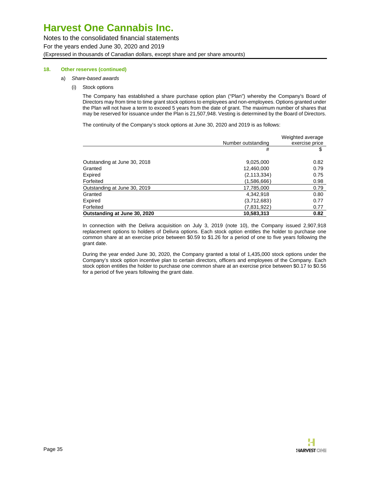Notes to the consolidated financial statements For the years ended June 30, 2020 and 2019 (Expressed in thousands of Canadian dollars, except share and per share amounts)

#### **18. Other reserves (continued)**

- a) Share-based awards
	- (i) Stock options

The Company has established a share purchase option plan ("Plan") whereby the Company's Board of Directors may from time to time grant stock options to employees and non-employees. Options granted under the Plan will not have a term to exceed 5 years from the date of grant. The maximum number of shares that may be reserved for issuance under the Plan is 21,507,948. Vesting is determined by the Board of Directors.

The continuity of the Company's stock options at June 30, 2020 and 2019 is as follows:

|                              | Number outstanding | Weighted average<br>exercise price |
|------------------------------|--------------------|------------------------------------|
|                              | #                  | \$                                 |
| Outstanding at June 30, 2018 | 9,025,000          | 0.82                               |
| Granted                      | 12,460,000         | 0.79                               |
| Expired                      | (2, 113, 334)      | 0.75                               |
| Forfeited                    | (1,586,666)        | 0.98                               |
| Outstanding at June 30, 2019 | 17,785,000         | 0.79                               |
| Granted                      | 4,342,918          | 0.80                               |
| Expired                      | (3,712,683)        | 0.77                               |
| Forfeited                    | (7,831,922)        | 0.77                               |
| Outstanding at June 30, 2020 | 10,583,313         | 0.82                               |

In connection with the Delivra acquisition on July 3, 2019 (note 10), the Company issued 2,907,918 replacement options to holders of Delivra options. Each stock option entitles the holder to purchase one common share at an exercise price between \$0.59 to \$1.26 for a period of one to five years following the grant date.

During the year ended June 30, 2020, the Company granted a total of 1,435,000 stock options under the Company's stock option incentive plan to certain directors, officers and employees of the Company. Each stock option entitles the holder to purchase one common share at an exercise price between \$0.17 to \$0.56 for a period of five years following the grant date.

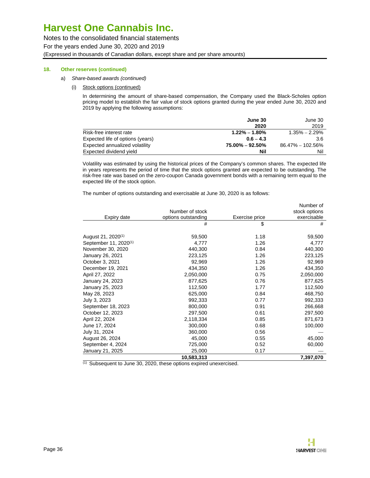Notes to the consolidated financial statements For the years ended June 30, 2020 and 2019 (Expressed in thousands of Canadian dollars, except share and per share amounts)

#### **18. Other reserves (continued)**

- a) Share-based awards (continued)
	- (i) Stock options (continued)

In determining the amount of share-based compensation, the Company used the Black-Scholes option pricing model to establish the fair value of stock options granted during the year ended June 30, 2020 and 2019 by applying the following assumptions:

|                                  | June 30           | June 30              |
|----------------------------------|-------------------|----------------------|
|                                  | 2020              | 2019                 |
| Risk-free interest rate          | $1.22\% - 1.80\%$ | $1.35\% - 2.29\%$    |
| Expected life of options (years) | $0.6 - 4.3$       | 3.6                  |
| Expected annualized volatility   | 75.00% – 92.50%   | $86.47\% - 102.56\%$ |
| Expected dividend yield          | Nil               | Nil                  |

Volatility was estimated by using the historical prices of the Company's common shares. The expected life in years represents the period of time that the stock options granted are expected to be outstanding. The risk-free rate was based on the zero-coupon Canada government bonds with a remaining term equal to the expected life of the stock option.

The number of options outstanding and exercisable at June 30, 2020 is as follows:

| Number of stock                                      | stock options |
|------------------------------------------------------|---------------|
|                                                      |               |
| Expiry date<br>options outstanding<br>Exercise price | exercisable   |
| #<br>\$                                              | #             |
| August 21, 2020 <sup>(1)</sup><br>59,500<br>1.18     | 59,500        |
| September 11, 2020 <sup>(1)</sup><br>1.26<br>4,777   | 4,777         |
| November 30, 2020<br>440,300<br>0.84                 | 440,300       |
| January 26, 2021<br>223,125<br>1.26                  | 223,125       |
| October 3, 2021<br>92,969<br>1.26                    | 92,969        |
| 1.26<br>434,350<br>December 19, 2021                 | 434,350       |
| April 27, 2022<br>2,050,000<br>0.75                  | 2,050,000     |
| 0.76<br>877,625<br>January 24, 2023                  | 877,625       |
| 1.77<br>January 25, 2023<br>112,500                  | 112,500       |
| 0.84<br>May 28, 2023<br>625,000                      | 468,750       |
| 992,333<br>July 3, 2023<br>0.77                      | 992,333       |
| September 18, 2023<br>0.91<br>800,000                | 266,668       |
| October 12, 2023<br>297,500<br>0.61                  | 297,500       |
| April 22, 2024<br>2,118,334<br>0.85                  | 871,673       |
| June 17, 2024<br>0.68<br>300,000                     | 100,000       |
| July 31, 2024<br>360,000<br>0.56                     |               |
| August 26, 2024<br>45,000<br>0.55                    | 45,000        |
| September 4, 2024<br>725,000<br>0.52                 | 60,000        |
| January 21, 2025<br>25,000<br>0.17                   |               |
| 10,583,313                                           | 7,397,070     |

(1) Subsequent to June 30, 2020, these options expired unexercised.

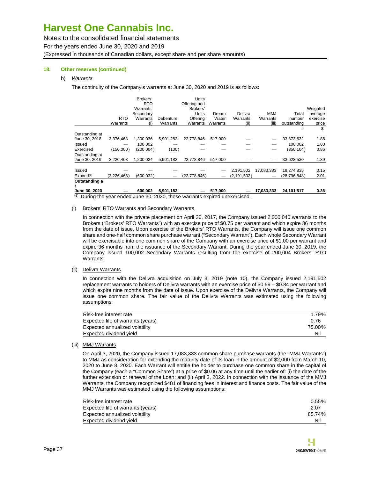Notes to the consolidated financial statements For the years ended June 30, 2020 and 2019 (Expressed in thousands of Canadian dollars, except share and per share amounts)

#### **18. Other reserves (continued)**

#### b) Warrants

The continuity of the Company's warrants at June 30, 2020 and 2019 is as follows:

|                        |             | Brokers'<br><b>RTO</b> |           | <b>Units</b><br>Offering and |          |               |            |                |          |
|------------------------|-------------|------------------------|-----------|------------------------------|----------|---------------|------------|----------------|----------|
|                        |             | Warrants.              |           | Brokers'                     |          |               |            |                | Weighted |
|                        |             | Secondary              |           | Units                        | Dream    | Delivra       | <b>MMJ</b> | Total          | average  |
|                        | <b>RTO</b>  | Warrants               | Debenture | Offerina                     | Water    | Warrants      | Warrants   | number         | exercise |
|                        | Warrants    | (i)                    | Warrants  | Warrants                     | Warrants | (ii)          | (iii)      | outstanding    | price    |
|                        |             |                        |           |                              |          |               |            | #              | \$       |
| Outstanding at         |             |                        |           |                              |          |               |            |                |          |
| June 30, 2018          | 3,376,468   | 1,300,036              | 5,901,282 | 22,778,846                   | 517,000  |               |            | 33,873,632     | 1.88     |
| Issued                 |             | 100.002                |           |                              |          |               |            | 100,002        | 1.00     |
| Exercised              | (150,000)   | (200,004)              | (100)     |                              |          |               |            | (350, 104)     | 0.86     |
| Outstanding at         |             |                        |           |                              |          |               |            |                |          |
| June 30, 2019          | 3,226,468   | 1.200.034              | 5,901,182 | 22.778.846                   | 517,000  |               |            | 33,623,530     | 1.89     |
|                        |             |                        |           |                              |          |               |            |                |          |
| Issued                 |             |                        |           |                              |          | 2,191,502     | 17.083.333 | 19,274,835     | 0.15     |
| Expired <sup>(1)</sup> | (3,226,468) | (600.032)              |           | (22,778,846)                 |          | (2, 191, 502) |            | (28, 796, 848) | 2.01     |
| Outstanding a          |             |                        |           |                              |          |               |            |                |          |
| June 30, 2020          |             | 600.002                | 5.901.182 |                              | 517,000  |               | 17.083.333 | 24,101,517     | 0.36     |

(1) During the year ended June 30, 2020, these warrants expired unexercised.

#### (i) Brokers' RTO Warrants and Secondary Warrants

In connection with the private placement on April 26, 2017, the Company issued 2,000,040 warrants to the Brokers ("Brokers' RTO Warrants") with an exercise price of \$0.75 per warrant and which expire 36 months from the date of issue. Upon exercise of the Brokers' RTO Warrants, the Company will issue one common share and one-half common share purchase warrant ("Secondary Warrant"). Each whole Secondary Warrant will be exercisable into one common share of the Company with an exercise price of \$1.00 per warrant and expire 36 months from the issuance of the Secondary Warrant. During the year ended June 30, 2019, the Company issued 100,002 Secondary Warrants resulting from the exercise of 200,004 Brokers' RTO Warrants.

#### (ii) Delivra Warrants

In connection with the Delivra acquisition on July 3, 2019 (note 10), the Company issued 2,191,502 replacement warrants to holders of Delivra warrants with an exercise price of \$0.59 – \$0.84 per warrant and which expire nine months from the date of issue. Upon exercise of the Delivra Warrants, the Company will issue one common share. The fair value of the Delivra Warrants was estimated using the following assumptions:

| Risk-free interest rate           | 1.79%  |
|-----------------------------------|--------|
| Expected life of warrants (years) | 0.76   |
| Expected annualized volatility    | 75.00% |
| Expected dividend yield           | Nil    |

#### (iii) MMJ Warrants

On April 3, 2020, the Company issued 17,083,333 common share purchase warrants (the "MMJ Warrants") to MMJ as consideration for extending the maturity date of its loan in the amount of \$2,000 from March 10, 2020 to June 8, 2020. Each Warrant will entitle the holder to purchase one common share in the capital of the Company (each a "Common Share") at a price of \$0.06 at any time until the earlier of: (i) the date of the further extension or renewal of the Loan; and (ii) April 3, 2022. In connection with the issuance of the MMJ Warrants, the Company recognized \$481 of financing fees in interest and finance costs. The fair value of the MMJ Warrants was estimated using the following assumptions:

| Risk-free interest rate           | $0.55\%$ |
|-----------------------------------|----------|
| Expected life of warrants (years) | 2.07     |
| Expected annualized volatility    | 85.74%   |
| Expected dividend yield           | Nil      |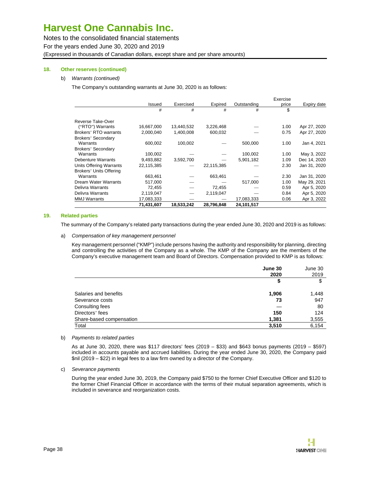Notes to the consolidated financial statements For the years ended June 30, 2020 and 2019 (Expressed in thousands of Canadian dollars, except share and per share amounts)

#### **18. Other reserves (continued)**

#### b) Warrants (continued)

The Company's outstanding warrants at June 30, 2020 is as follows:

|                           |            |            |            |             | Exercise |              |
|---------------------------|------------|------------|------------|-------------|----------|--------------|
|                           | Issued     | Exercised  | Expired    | Outstanding | price    | Expiry date  |
|                           | #          | #          | #          | #           | \$       |              |
| Reverse Take-Over         |            |            |            |             |          |              |
| ("RTO") Warrants          | 16,667,000 | 13,440,532 | 3,226,468  |             | 1.00     | Apr 27, 2020 |
| Brokers' RTO warrants     | 2,000,040  | 1,400,008  | 600,032    |             | 0.75     | Apr 27, 2020 |
| <b>Brokers' Secondary</b> |            |            |            |             |          |              |
| Warrants                  | 600,002    | 100,002    |            | 500,000     | 1.00     | Jan 4, 2021  |
| <b>Brokers' Secondary</b> |            |            |            |             |          |              |
| Warrants                  | 100,002    |            |            | 100,002     | 1.00     | May 3, 2022  |
| <b>Debenture Warrants</b> | 9,493,882  | 3,592,700  |            | 5,901,182   | 1.09     | Dec 14, 2020 |
| Units Offering Warrants   | 22,115,385 |            | 22,115,385 |             | 2.30     | Jan 31, 2020 |
| Brokers' Units Offering   |            |            |            |             |          |              |
| Warrants                  | 663,461    |            | 663,461    |             | 2.30     | Jan 31, 2020 |
| Dream Water Warrants      | 517,000    |            |            | 517,000     | 1.00     | May 29, 2021 |
| Delivra Warrants          | 72,455     |            | 72,455     |             | 0.59     | Apr 5, 2020  |
| Delivra Warrants          | 2,119,047  |            | 2,119,047  |             | 0.84     | Apr 5, 2020  |
| <b>MMJ Warrants</b>       | 17,083,333 |            |            | 17,083,333  | 0.06     | Apr 3, 2022  |
|                           | 71,431,607 | 18,533,242 | 28,796,848 | 24,101,517  |          |              |

#### **19. Related parties**

The summary of the Company's related party transactions during the year ended June 30, 2020 and 2019 is as follows:

#### a) Compensation of key management personnel

Key management personnel ("KMP") include persons having the authority and responsibility for planning, directing and controlling the activities of the Company as a whole. The KMP of the Company are the members of the Company's executive management team and Board of Directors. Compensation provided to KMP is as follows:

|                          | June 30<br>2020 | June 30<br>2019 |
|--------------------------|-----------------|-----------------|
|                          | \$              | \$              |
| Salaries and benefits    | 1,906           | 1,448           |
| Severance costs          | 73              | 947             |
| Consulting fees          |                 | 80              |
| Directors' fees          | 150             | 124             |
| Share-based compensation | 1,381           | 3,555           |
| Total                    | 3,510           | 6,154           |

b) Payments to related parties

As at June 30, 2020, there was \$117 directors' fees (2019 – \$33) and \$643 bonus payments (2019 – \$597) included in accounts payable and accrued liabilities. During the year ended June 30, 2020, the Company paid \$nil (2019 – \$22) in legal fees to a law firm owned by a director of the Company.

c) Severance payments

During the year ended June 30, 2019, the Company paid \$750 to the former Chief Executive Officer and \$120 to the former Chief Financial Officer in accordance with the terms of their mutual separation agreements, which is included in severance and reorganization costs.

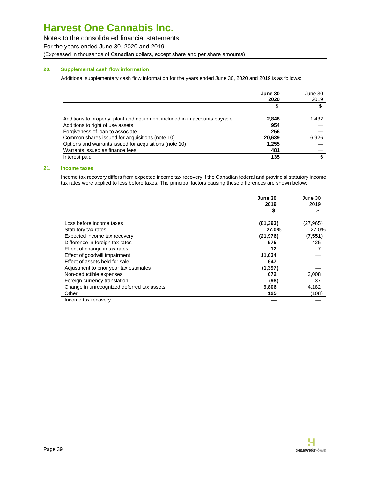Notes to the consolidated financial statements For the years ended June 30, 2020 and 2019 (Expressed in thousands of Canadian dollars, except share and per share amounts)

#### **20. Supplemental cash flow information**

Additional supplementary cash flow information for the years ended June 30, 2020 and 2019 is as follows:

|                                                                            | June 30<br>2020 | June 30<br>2019 |
|----------------------------------------------------------------------------|-----------------|-----------------|
|                                                                            | \$              | \$              |
| Additions to property, plant and equipment included in in accounts payable | 2,848           | 1,432           |
| Additions to right of use assets                                           | 954             |                 |
| Forgiveness of loan to associate                                           | 256             |                 |
| Common shares issued for acquisitions (note 10)                            | 20,639          | 6,926           |
| Options and warrants issued for acquisitions (note 10)                     | 1,255           |                 |
| Warrants issued as finance fees                                            | 481             |                 |
| Interest paid                                                              | 135             | 6               |

#### **21. Income taxes**

Income tax recovery differs from expected income tax recovery if the Canadian federal and provincial statutory income tax rates were applied to loss before taxes. The principal factors causing these differences are shown below:

|                                            | June 30   | June 30   |
|--------------------------------------------|-----------|-----------|
|                                            | 2019      | 2019      |
|                                            | \$        | S         |
| Loss before income taxes                   | (81, 393) | (27, 965) |
| Statutory tax rates                        | 27.0%     | 27.0%     |
| Expected income tax recovery               | (21, 976) | (7,551)   |
| Difference in foreign tax rates            | 575       | 425       |
| Effect of change in tax rates              | 12        |           |
| Effect of goodwill impairment              | 11,634    |           |
| Effect of assets held for sale             | 647       |           |
| Adjustment to prior year tax estimates     | (1, 397)  |           |
| Non-deductible expenses                    | 672       | 3,008     |
| Foreign currency translation               | (98)      | 37        |
| Change in unrecognized deferred tax assets | 9,806     | 4,182     |
| Other                                      | 125       | (108)     |
| Income tax recovery                        |           |           |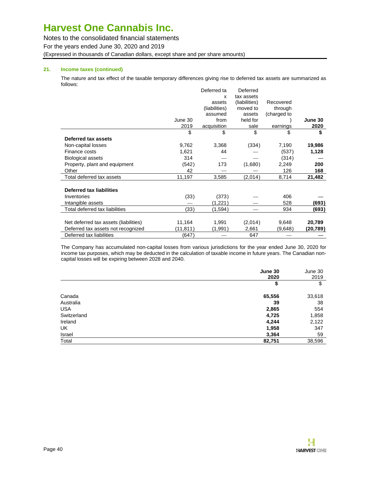Notes to the consolidated financial statements

For the years ended June 30, 2020 and 2019

(Expressed in thousands of Canadian dollars, except share and per share amounts)

#### **21. Income taxes (continued)**

The nature and tax effect of the taxable temporary differences giving rise to deferred tax assets are summarized as follows: Deferred ta Deferred

|                                       |          | Deferred ta   | Deferred      |             |          |
|---------------------------------------|----------|---------------|---------------|-------------|----------|
|                                       |          | x             | tax assets    |             |          |
|                                       |          | assets        | (liabilities) | Recovered   |          |
|                                       |          | (liabilities) | moved to      | through     |          |
|                                       |          | assumed       | assets        | (charged to |          |
|                                       | June 30  | from          | held for      |             | June 30  |
|                                       | 2019     | acquisition   | sale          | earnings    | 2020     |
|                                       | \$       | \$            | \$            | \$          | \$       |
| Deferred tax assets                   |          |               |               |             |          |
| Non-capital losses                    | 9,762    | 3,368         | (334)         | 7,190       | 19,986   |
| Finance costs                         | 1,621    | 44            |               | (537)       | 1,128    |
| Biological assets                     | 314      |               |               | (314)       |          |
| Property, plant and equipment         | (542)    | 173           | (1,680)       | 2,249       | 200      |
| Other                                 | 42       |               |               | 126         | 168      |
| Total deferred tax assets             | 11,197   | 3,585         | (2,014)       | 8,714       | 21,482   |
| <b>Deferred tax liabilities</b>       |          |               |               |             |          |
| Inventories                           | (33)     | (373)         |               | 406         |          |
| Intangible assets                     |          | (1,221)       |               | 528         | (693)    |
| Total deferred tax liabilities        | (33)     | (1,594)       |               | 934         | (693)    |
| Net deferred tax assets (liabilities) | 11,164   | 1,991         | (2,014)       | 9,648       | 20,789   |
| Deferred tax assets not recognized    | (11,811) | (1,991)       | 2,661         | (9,648)     | (20,789) |
| Deferred tax liabilities              | (647)    |               | 647           |             |          |

The Company has accumulated non-capital losses from various jurisdictions for the year ended June 30, 2020 for income tax purposes, which may be deducted in the calculation of taxable income in future years. The Canadian noncapital losses will be expiring between 2028 and 2040.

|             | June 30<br>2020 | June 30<br>2019 |
|-------------|-----------------|-----------------|
|             | \$              | \$              |
| Canada      | 65,556          | 33,618          |
| Australia   | 39              | 38              |
| <b>USA</b>  | 2,865           | 554             |
| Switzerland | 4,725           | 1,858           |
| Ireland     | 4,244           | 2,122           |
| UK          | 1,958           | 347             |
| Israel      | 3,364           | 59              |
| Total       | 82,751          | 38,596          |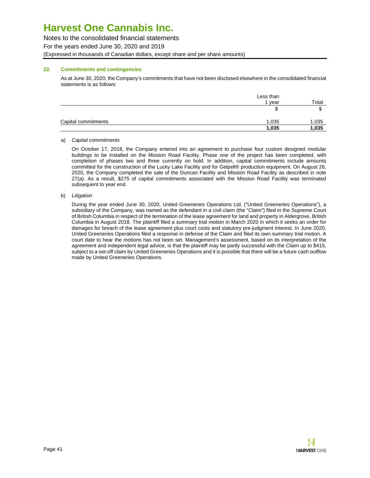Notes to the consolidated financial statements For the years ended June 30, 2020 and 2019 (Expressed in thousands of Canadian dollars, except share and per share amounts)

#### **22. Commitments and contingencies**

As at June 30, 2020, the Company's commitments that have not been disclosed elsewhere in the consolidated financial statements is as follows:

|                     | Less than |       |
|---------------------|-----------|-------|
|                     | 1 year    | Total |
|                     | Φ         | ۰D    |
| Capital commitments | 1,035     | 1,035 |
|                     | 1,035     | 1,035 |

#### a) Capital commitments

On October 17, 2018, the Company entered into an agreement to purchase four custom designed modular buildings to be installed on the Mission Road Facility. Phase one of the project has been completed, with completion of phases two and three currently on hold. In addition, capital commitments include amounts committed for the construction of the Lucky Lake Facility and for Gelpell® production equipment. On August 26, 2020, the Company completed the sale of the Duncan Facility and Mission Road Facility as described in note 27(a). As a result, \$275 of capital commitments associated with the Mission Road Facility was terminated subsequent to year end.

#### b) Litigation

During the year ended June 30, 2020, United Greeneries Operations Ltd. ("United Greeneries Operations"), a subsidiary of the Company, was named as the defendant in a civil claim (the "Claim") filed in the Supreme Court of British Columbia in respect of the termination of the lease agreement for land and property in Aldergrove, British Columbia in August 2018. The plaintiff filed a summary trial motion in March 2020 in which it seeks an order for damages for breach of the lease agreement plus court costs and statutory pre-judgment interest. In June 2020, United Greeneries Operations filed a response in defense of the Claim and filed its own summary trial motion. A court date to hear the motions has not been set. Management's assessment, based on its interpretation of the agreement and independent legal advice, is that the plaintiff may be partly successful with the Claim up to \$415, subject to a set-off claim by United Greeneries Operations and it is possible that there will be a future cash outflow made by United Greeneries Operations.

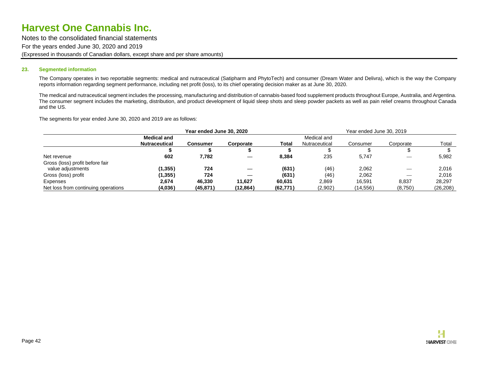Notes to the consolidated financial statements For the years ended June 30, 2020 and 2019 (Expressed in thousands of Canadian dollars, except share and per share amounts)

#### **23. Segmented information**

The Company operates in two reportable segments: medical and nutraceutical (Satipharm and PhytoTech) and consumer (Dream Water and Delivra), which is the way the Company reports information regarding segment performance, including net profit (loss), to its chief operating decision maker as at June 30, 2020.

The medical and nutraceutical segment includes the processing, manufacturing and distribution of cannabis-based food supplement products throughout Europe, Australia, and Argentina. The consumer segment includes the marketing, distribution, and product development of liquid sleep shots and sleep powder packets as well as pain relief creams throughout Canada and the US.

The segments for year ended June 30, 2020 and 2019 are as follows:

|                                     | Year ended June 30, 2020 |           |           |           | Year ended June 30, 2019 |           |                                |           |
|-------------------------------------|--------------------------|-----------|-----------|-----------|--------------------------|-----------|--------------------------------|-----------|
|                                     | <b>Medical and</b>       |           |           |           | Medical and              |           |                                |           |
|                                     | <b>Nutraceutical</b>     | Consumer  | Corporate | Total     | Nutraceutical            | Consumer  | Corporate                      | Total     |
|                                     |                          |           |           |           |                          |           |                                |           |
| Net revenue                         | 602                      | 7,782     |           | 8.384     | 235                      | 5.747     |                                | 5,982     |
| Gross (loss) profit before fair     |                          |           |           |           |                          |           |                                |           |
| value adjustments                   | (1,355)                  | 724       |           | (631)     | (46)                     | 2.062     |                                | 2.016     |
| Gross (loss) profit                 | (1, 355)                 | 724       |           | (631)     | (46)                     | 2.062     | $\overbrace{\hspace{25mm}}^{}$ | 2.016     |
| Expenses                            | 2.674                    | 46.330    | 11.627    | 60.631    | 2,869                    | 16.591    | 8,837                          | 28.297    |
| Net loss from continuing operations | (4,036)                  | (45, 871) | (12,864)  | (62, 771) | (2,902)                  | (14, 556) | (8,750)                        | (26, 208) |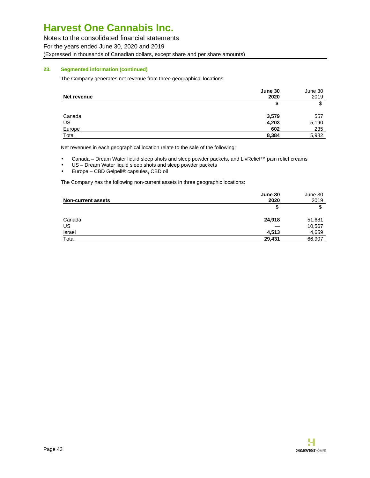Notes to the consolidated financial statements For the years ended June 30, 2020 and 2019 (Expressed in thousands of Canadian dollars, except share and per share amounts)

#### **23. Segmented information (continued)**

The Company generates net revenue from three geographical locations:

| Net revenue | June 30<br>2020 | June 30<br>2019 |
|-------------|-----------------|-----------------|
|             | S               | c<br>Φ          |
| Canada      | 3,579           | 557             |
| US          | 4,203           | 5,190           |
| Europe      | 602             | 235             |
| Total       | 8,384           | 5,982           |

Net revenues in each geographical location relate to the sale of the following:

• Canada – Dream Water liquid sleep shots and sleep powder packets, and LivRelief™ pain relief creams

- US Dream Water liquid sleep shots and sleep powder packets
- Europe CBD Gelpell® capsules, CBD oil

The Company has the following non-current assets in three geographic locations:

|                           | June 30 | June 30 |
|---------------------------|---------|---------|
| <b>Non-current assets</b> | 2020    | 2019    |
|                           | S       | c<br>J  |
| Canada                    | 24,918  | 51,681  |
| US                        |         | 10,567  |
| Israel                    | 4,513   | 4,659   |
| Total                     | 29,431  | 66,907  |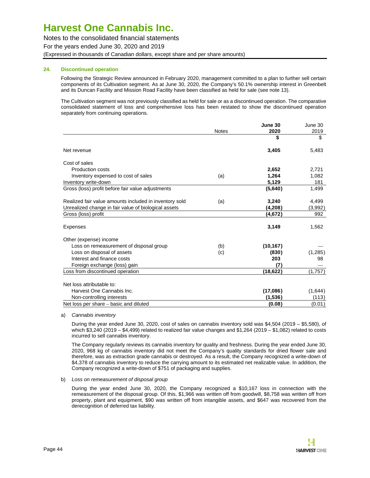Notes to the consolidated financial statements For the years ended June 30, 2020 and 2019 (Expressed in thousands of Canadian dollars, except share and per share amounts)

#### **24. Discontinued operation**

Following the Strategic Review announced in February 2020, management committed to a plan to further sell certain components of its Cultivation segment. As at June 30, 2020, the Company's 50.1% ownership interest in Greenbelt and its Duncan Facility and Mission Road Facility have been classified as held for sale (see note 13).

The Cultivation segment was not previously classified as held for sale or as a discontinued operation. The comparative consolidated statement of loss and comprehensive loss has been restated to show the discontinued operation separately from continuing operations.

|                                                        |              | June 30   | June 30  |
|--------------------------------------------------------|--------------|-----------|----------|
|                                                        | <b>Notes</b> | 2020      | 2019     |
|                                                        |              | \$        | \$       |
| Net revenue                                            |              | 3,405     | 5,483    |
| Cost of sales                                          |              |           |          |
| Production costs                                       |              | 2,652     | 2,721    |
| Inventory expensed to cost of sales                    | (a)          | 1,264     | 1,082    |
| Inventory write-down                                   |              | 5,129     | 181      |
| Gross (loss) profit before fair value adjustments      |              | (5,640)   | 1,499    |
| Realized fair value amounts included in inventory sold | (a)          | 3,240     | 4,499    |
| Unrealized change in fair value of biological assets   |              | (4,208)   | (3,992)  |
| Gross (loss) profit                                    |              | (4,672)   | 992      |
| <b>Expenses</b>                                        |              | 3,149     | 1,562    |
| Other (expense) income                                 |              |           |          |
| Loss on remeasurement of disposal group                | (b)          | (10, 167) |          |
| Loss on disposal of assets                             | (c)          | (830)     | (1, 285) |
| Interest and finance costs                             |              | 203       | 98       |
| Foreign exchange (loss) gain                           |              | (7)       |          |
| Loss from discontinued operation                       |              | (18,622)  | (1,757)  |
| Net loss attributable to:                              |              |           |          |
| Harvest One Cannabis Inc.                              |              | (17,086)  | (1,644)  |
| Non-controlling interests                              |              | (1,536)   | (113)    |
| Net loss per share – basic and diluted                 |              | (0.08)    | (0.01)   |

a) Cannabis inventory

During the year ended June 30, 2020, cost of sales on cannabis inventory sold was \$4,504 (2019 – \$5,580), of which \$3,240 (2019 – \$4,499) related to realized fair value changes and \$1,264 (2019 – \$1,082) related to costs incurred to sell cannabis inventory.

The Company regularly reviews its cannabis inventory for quality and freshness. During the year ended June 30, 2020, 968 kg of cannabis inventory did not meet the Company's quality standards for dried flower sale and therefore, was as extraction grade cannabis or destroyed. As a result, the Company recognized a write-down of \$4,378 of cannabis inventory to reduce the carrying amount to its estimated net realizable value. In addition, the Company recognized a write-down of \$751 of packaging and supplies.

#### b) Loss on remeasurement of disposal group

During the year ended June 30, 2020, the Company recognized a \$10,167 loss in connection with the remeasurement of the disposal group. Of this, \$1,966 was written off from goodwill, \$8,758 was written off from property, plant and equipment, \$90 was written off from intangible assets, and \$647 was recovered from the derecognition of deferred tax liability.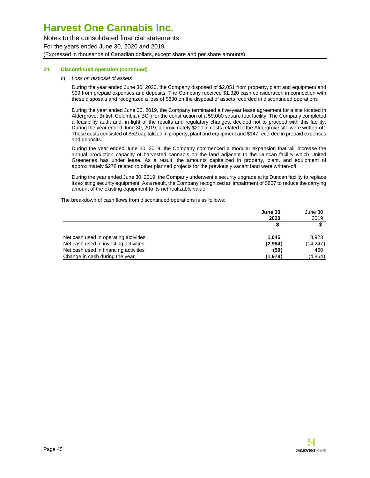Notes to the consolidated financial statements For the years ended June 30, 2020 and 2019 (Expressed in thousands of Canadian dollars, except share and per share amounts)

#### **24. Discontinued operation (continued)**

#### c) Loss on disposal of assets

During the year ended June 30, 2020, the Company disposed of \$2,051 from property, plant and equipment and \$99 from prepaid expenses and deposits. The Company received \$1,320 cash consideration in connection with these disposals and recognized a loss of \$830 on the disposal of assets recorded in discontinued operations

During the year ended June 30, 2019, the Company terminated a five-year lease agreement for a site located in Aldergrove, British Columbia ("BC") for the construction of a 59,000 square foot facility. The Company completed a feasibility audit and, in light of the results and regulatory changes, decided not to proceed with this facility. During the year ended June 30, 2019, approximately \$200 in costs related to the Aldergrove site were written-off. These costs consisted of \$52 capitalized in property, plant and equipment and \$147 recorded in prepaid expenses and deposits.

During the year ended June 30, 2019, the Company commenced a modular expansion that will increase the annual production capacity of harvested cannabis on the land adjacent to the Duncan facility which United Greeneries has under lease. As a result, the amounts capitalized in property, plant, and equipment of approximately \$278 related to other planned projects for the previously vacant land were written-off.

During the year ended June 30, 2019, the Company underwent a security upgrade at its Duncan facility to replace its existing security equipment. As a result, the Company recognized an impairment of \$807 to reduce the carrying amount of the existing equipment to its net realizable value.

The breakdown of cash flows from discontinued operations is as follows:

|                                       | June 30<br>2020 | June 30<br>2019 |
|---------------------------------------|-----------------|-----------------|
|                                       |                 |                 |
| Net cash used in operating activities | 1.045           | 8,923           |
| Net cash used in investing activities | (2,964)         | (14, 247)       |
| Net cash used in financing activities | (59)            | 460             |
| Change in cash during the year        | (1,978)         | (4,864)         |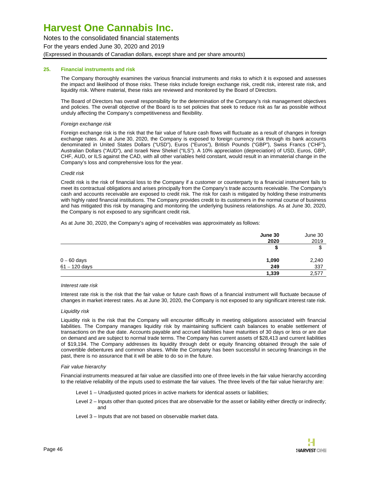Notes to the consolidated financial statements For the years ended June 30, 2020 and 2019 (Expressed in thousands of Canadian dollars, except share and per share amounts)

#### **25. Financial instruments and risk**

The Company thoroughly examines the various financial instruments and risks to which it is exposed and assesses the impact and likelihood of those risks. These risks include foreign exchange risk, credit risk, interest rate risk, and liquidity risk. Where material, these risks are reviewed and monitored by the Board of Directors.

The Board of Directors has overall responsibility for the determination of the Company's risk management objectives and policies. The overall objective of the Board is to set policies that seek to reduce risk as far as possible without unduly affecting the Company's competitiveness and flexibility.

#### Foreign exchange risk

Foreign exchange risk is the risk that the fair value of future cash flows will fluctuate as a result of changes in foreign exchange rates. As at June 30, 2020, the Company is exposed to foreign currency risk through its bank accounts denominated in United States Dollars ("USD"), Euros ("Euros"), British Pounds ("GBP"), Swiss Francs ('CHF"), Australian Dollars ("AUD"), and Israeli New Shekel ("ILS"). A 10% appreciation (depreciation) of USD, Euros, GBP, CHF, AUD, or ILS against the CAD, with all other variables held constant, would result in an immaterial change in the Company's loss and comprehensive loss for the year.

#### Credit risk

Credit risk is the risk of financial loss to the Company if a customer or counterparty to a financial instrument fails to meet its contractual obligations and arises principally from the Company's trade accounts receivable. The Company's cash and accounts receivable are exposed to credit risk. The risk for cash is mitigated by holding these instruments with highly rated financial institutions. The Company provides credit to its customers in the normal course of business and has mitigated this risk by managing and monitoring the underlying business relationships. As at June 30, 2020, the Company is not exposed to any significant credit risk.

As at June 30, 2020, the Company's aging of receivables was approximately as follows:

|                 | June 30 | June 30 |
|-----------------|---------|---------|
|                 | 2020    | 2019    |
|                 | Φ       | จ       |
| $0 - 60$ days   | 1,090   | 2,240   |
| $61 - 120$ days | 249     | 337     |
|                 | 1,339   | 2,577   |

#### Interest rate risk

Interest rate risk is the risk that the fair value or future cash flows of a financial instrument will fluctuate because of changes in market interest rates. As at June 30, 2020, the Company is not exposed to any significant interest rate risk.

#### Liquidity risk

Liquidity risk is the risk that the Company will encounter difficulty in meeting obligations associated with financial liabilities. The Company manages liquidity risk by maintaining sufficient cash balances to enable settlement of transactions on the due date. Accounts payable and accrued liabilities have maturities of 30 days or less or are due on demand and are subject to normal trade terms. The Company has current assets of \$28,413 and current liabilities of \$19,194. The Company addresses its liquidity through debt or equity financing obtained through the sale of convertible debentures and common shares. While the Company has been successful in securing financings in the past, there is no assurance that it will be able to do so in the future.

#### Fair value hierarchy

Financial instruments measured at fair value are classified into one of three levels in the fair value hierarchy according to the relative reliability of the inputs used to estimate the fair values. The three levels of the fair value hierarchy are:

Level 1 – Unadjusted quoted prices in active markets for identical assets or liabilities;

- Level 2 Inputs other than quoted prices that are observable for the asset or liability either directly or indirectly; and
- Level 3 Inputs that are not based on observable market data.